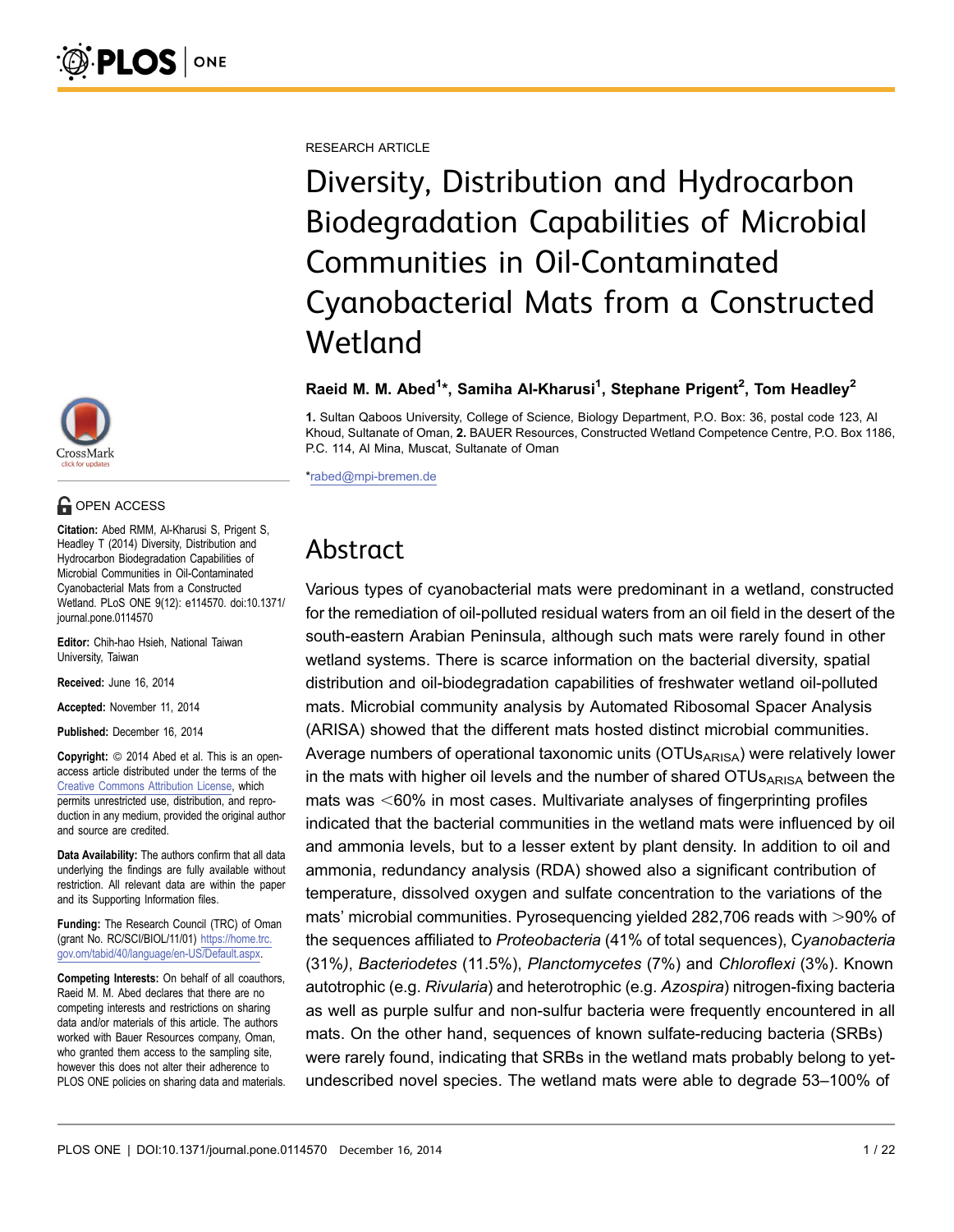RESEARCH ARTICLE

Diversity, Distribution and Hydrocarbon Biodegradation Capabilities of Microbial Communities in Oil-Contaminated Cyanobacterial Mats from a Constructed Wetland

#### Raeid M. M. Abed<sup>1\*</sup>, Samiha Al-Kharusi<sup>1</sup>, Stephane Prigent<sup>2</sup>, Tom Headley<sup>2</sup>

1. Sultan Qaboos University, College of Science, Biology Department, P.O. Box: 36, postal code 123, Al Khoud, Sultanate of Oman, 2. BAUER Resources, Constructed Wetland Competence Centre, P.O. Box 1186, P.C. 114, Al Mina, Muscat, Sultanate of Oman

\*rabed@mpi-bremen.de

# Abstract

Various types of cyanobacterial mats were predominant in a wetland, constructed for the remediation of oil-polluted residual waters from an oil field in the desert of the south-eastern Arabian Peninsula, although such mats were rarely found in other wetland systems. There is scarce information on the bacterial diversity, spatial distribution and oil-biodegradation capabilities of freshwater wetland oil-polluted mats. Microbial community analysis by Automated Ribosomal Spacer Analysis (ARISA) showed that the different mats hosted distinct microbial communities. Average numbers of operational taxonomic units ( $OTUs<sub>ARISA</sub>$ ) were relatively lower in the mats with higher oil levels and the number of shared  $OTUs<sub>ARISA</sub>$  between the mats was  $<60\%$  in most cases. Multivariate analyses of fingerprinting profiles indicated that the bacterial communities in the wetland mats were influenced by oil and ammonia levels, but to a lesser extent by plant density. In addition to oil and ammonia, redundancy analysis (RDA) showed also a significant contribution of temperature, dissolved oxygen and sulfate concentration to the variations of the mats' microbial communities. Pyrosequencing yielded 282,706 reads with >90% of the sequences affiliated to Proteobacteria (41% of total sequences), Cyanobacteria (31%), Bacteriodetes (11.5%), Planctomycetes (7%) and Chloroflexi (3%). Known autotrophic (e.g. Rivularia) and heterotrophic (e.g. Azospira) nitrogen-fixing bacteria as well as purple sulfur and non-sulfur bacteria were frequently encountered in all mats. On the other hand, sequences of known sulfate-reducing bacteria (SRBs) were rarely found, indicating that SRBs in the wetland mats probably belong to yetundescribed novel species. The wetland mats were able to degrade 53–100% of



# **G** OPEN ACCESS

Citation: Abed RMM, Al-Kharusi S, Prigent S, Headley T (2014) Diversity, Distribution and Hydrocarbon Biodegradation Capabilities of Microbial Communities in Oil-Contaminated Cyanobacterial Mats from a Constructed Wetland. PLoS ONE 9(12): e114570. doi:10.1371/ journal.pone.0114570

Editor: Chih-hao Hsieh, National Taiwan University, Taiwan

Received: June 16, 2014

Accepted: November 11, 2014

Published: December 16, 2014

**Copyright:** © 2014 Abed et al. This is an openaccess article distributed under the terms of the [Creative Commons Attribution License,](http://creativecommons.org/licenses/by/4.0/) which permits unrestricted use, distribution, and reproduction in any medium, provided the original author and source are credited.

Data Availability: The authors confirm that all data underlying the findings are fully available without restriction. All relevant data are within the paper and its Supporting Information files.

Funding: The Research Council (TRC) of Oman (grant No. RC/SCI/BIOL/11/01) [https://home.trc.](https://home.trc.gov.om/tabid/40/language/en-US/Default.aspx) [gov.om/tabid/40/language/en-US/Default.aspx](https://home.trc.gov.om/tabid/40/language/en-US/Default.aspx).

Competing Interests: On behalf of all coauthors, Raeid M. M. Abed declares that there are no competing interests and restrictions on sharing data and/or materials of this article. The authors worked with Bauer Resources company, Oman, who granted them access to the sampling site, however this does not alter their adherence to PLOS ONE policies on sharing data and materials.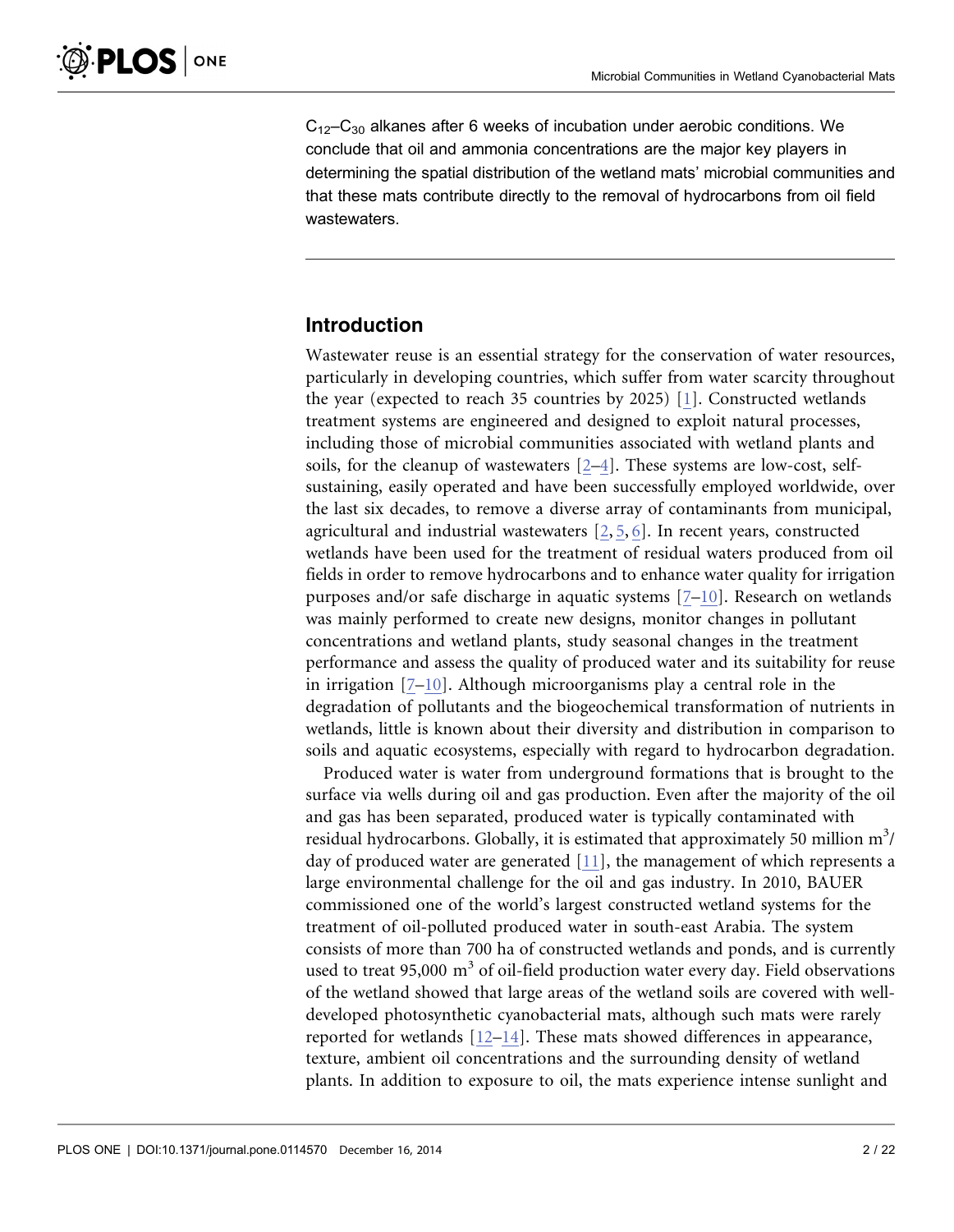$C_{12}-C_{30}$  alkanes after 6 weeks of incubation under aerobic conditions. We conclude that oil and ammonia concentrations are the major key players in determining the spatial distribution of the wetland mats' microbial communities and that these mats contribute directly to the removal of hydrocarbons from oil field wastewaters.

#### Introduction

Wastewater reuse is an essential strategy for the conservation of water resources, particularly in developing countries, which suffer from water scarcity throughout the year (expected to reach 35 countries by 2025) [\[1\]](#page-18-0). Constructed wetlands treatment systems are engineered and designed to exploit natural processes, including those of microbial communities associated with wetland plants and soils, for the cleanup of wastewaters [\[2–4\]](#page-18-0). These systems are low-cost, selfsustaining, easily operated and have been successfully employed worldwide, over the last six decades, to remove a diverse array of contaminants from municipal, agricultural and industrial wastewaters [\[2,](#page-18-0) [5,](#page-18-0) [6\].](#page-18-0) In recent years, constructed wetlands have been used for the treatment of residual waters produced from oil fields in order to remove hydrocarbons and to enhance water quality for irrigation purposes and/or safe discharge in aquatic systems [\[7–10\].](#page-18-0) Research on wetlands was mainly performed to create new designs, monitor changes in pollutant concentrations and wetland plants, study seasonal changes in the treatment performance and assess the quality of produced water and its suitability for reuse in irrigation [\[7–10\].](#page-18-0) Although microorganisms play a central role in the degradation of pollutants and the biogeochemical transformation of nutrients in wetlands, little is known about their diversity and distribution in comparison to soils and aquatic ecosystems, especially with regard to hydrocarbon degradation.

Produced water is water from underground formations that is brought to the surface via wells during oil and gas production. Even after the majority of the oil and gas has been separated, produced water is typically contaminated with residual hydrocarbons. Globally, it is estimated that approximately 50 million  $m^3$ / day of produced water are generated [\[11\]](#page-18-0), the management of which represents a large environmental challenge for the oil and gas industry. In 2010, BAUER commissioned one of the world's largest constructed wetland systems for the treatment of oil-polluted produced water in south-east Arabia. The system consists of more than 700 ha of constructed wetlands and ponds, and is currently used to treat 95,000  $m<sup>3</sup>$  of oil-field production water every day. Field observations of the wetland showed that large areas of the wetland soils are covered with welldeveloped photosynthetic cyanobacterial mats, although such mats were rarely reported for wetlands [\[12–14\].](#page-18-0) These mats showed differences in appearance, texture, ambient oil concentrations and the surrounding density of wetland plants. In addition to exposure to oil, the mats experience intense sunlight and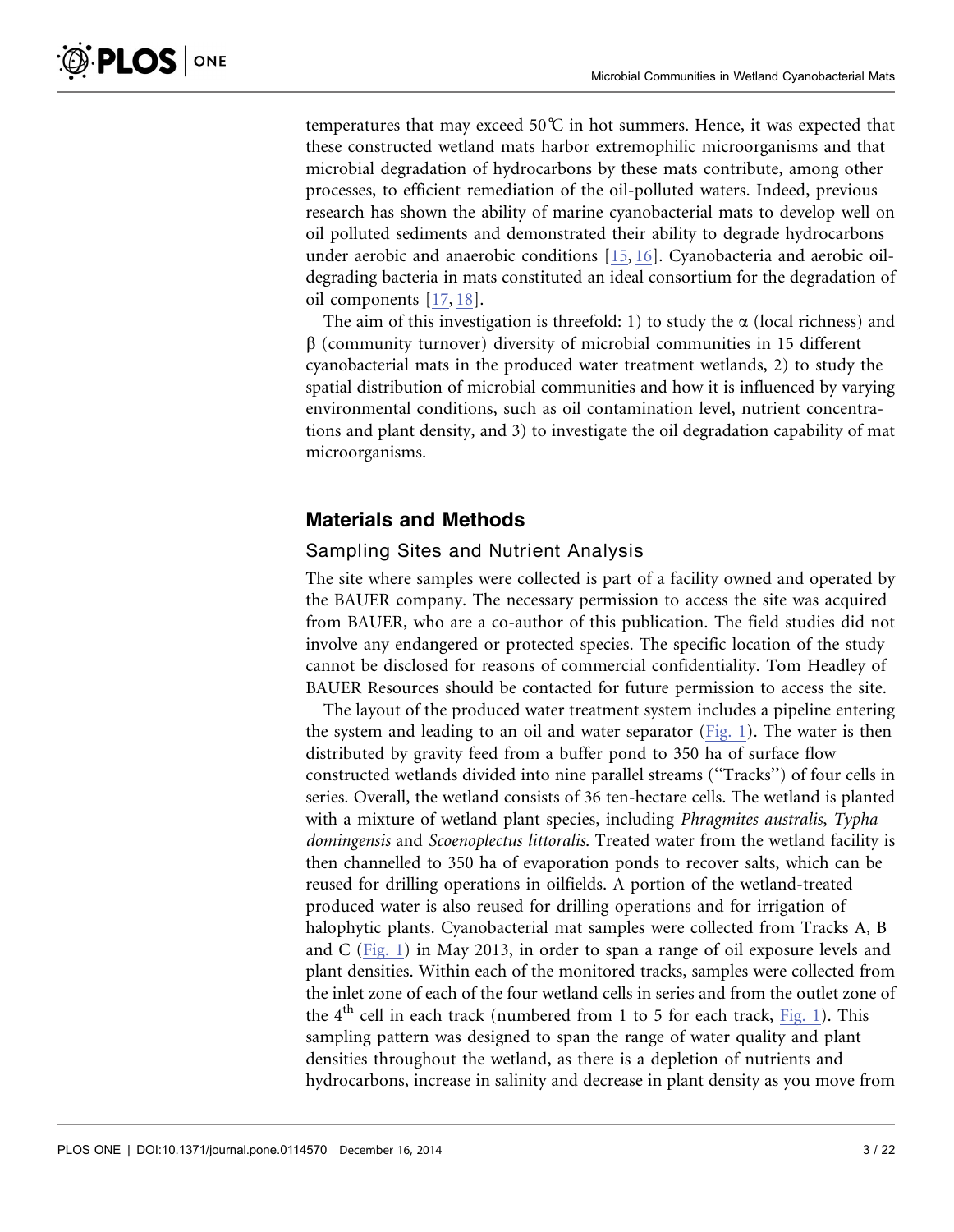**PLOS** ONE

temperatures that may exceed 50 $\degree$ C in hot summers. Hence, it was expected that these constructed wetland mats harbor extremophilic microorganisms and that microbial degradation of hydrocarbons by these mats contribute, among other processes, to efficient remediation of the oil-polluted waters. Indeed, previous research has shown the ability of marine cyanobacterial mats to develop well on oil polluted sediments and demonstrated their ability to degrade hydrocarbons under aerobic and anaerobic conditions [\[15,](#page-18-0) [16\]](#page-18-0). Cyanobacteria and aerobic oildegrading bacteria in mats constituted an ideal consortium for the degradation of oil components [\[17,](#page-18-0) [18\]](#page-18-0).

The aim of this investigation is threefold: 1) to study the  $\alpha$  (local richness) and  $\beta$  (community turnover) diversity of microbial communities in 15 different cyanobacterial mats in the produced water treatment wetlands, 2) to study the spatial distribution of microbial communities and how it is influenced by varying environmental conditions, such as oil contamination level, nutrient concentrations and plant density, and 3) to investigate the oil degradation capability of mat microorganisms.

# Materials and Methods

#### Sampling Sites and Nutrient Analysis

The site where samples were collected is part of a facility owned and operated by the BAUER company. The necessary permission to access the site was acquired from BAUER, who are a co-author of this publication. The field studies did not involve any endangered or protected species. The specific location of the study cannot be disclosed for reasons of commercial confidentiality. Tom Headley of BAUER Resources should be contacted for future permission to access the site.

The layout of the produced water treatment system includes a pipeline entering the system and leading to an oil and water separator [\(Fig. 1](#page-3-0)). The water is then distributed by gravity feed from a buffer pond to 350 ha of surface flow constructed wetlands divided into nine parallel streams (''Tracks'') of four cells in series. Overall, the wetland consists of 36 ten-hectare cells. The wetland is planted with a mixture of wetland plant species, including *Phragmites australis*, Typha domingensis and Scoenoplectus littoralis. Treated water from the wetland facility is then channelled to 350 ha of evaporation ponds to recover salts, which can be reused for drilling operations in oilfields. A portion of the wetland-treated produced water is also reused for drilling operations and for irrigation of halophytic plants. Cyanobacterial mat samples were collected from Tracks A, B and C [\(Fig. 1](#page-3-0)) in May 2013, in order to span a range of oil exposure levels and plant densities. Within each of the monitored tracks, samples were collected from the inlet zone of each of the four wetland cells in series and from the outlet zone of the  $4<sup>th</sup>$  cell in each track (numbered from 1 to 5 for each track, [Fig. 1](#page-3-0)). This sampling pattern was designed to span the range of water quality and plant densities throughout the wetland, as there is a depletion of nutrients and hydrocarbons, increase in salinity and decrease in plant density as you move from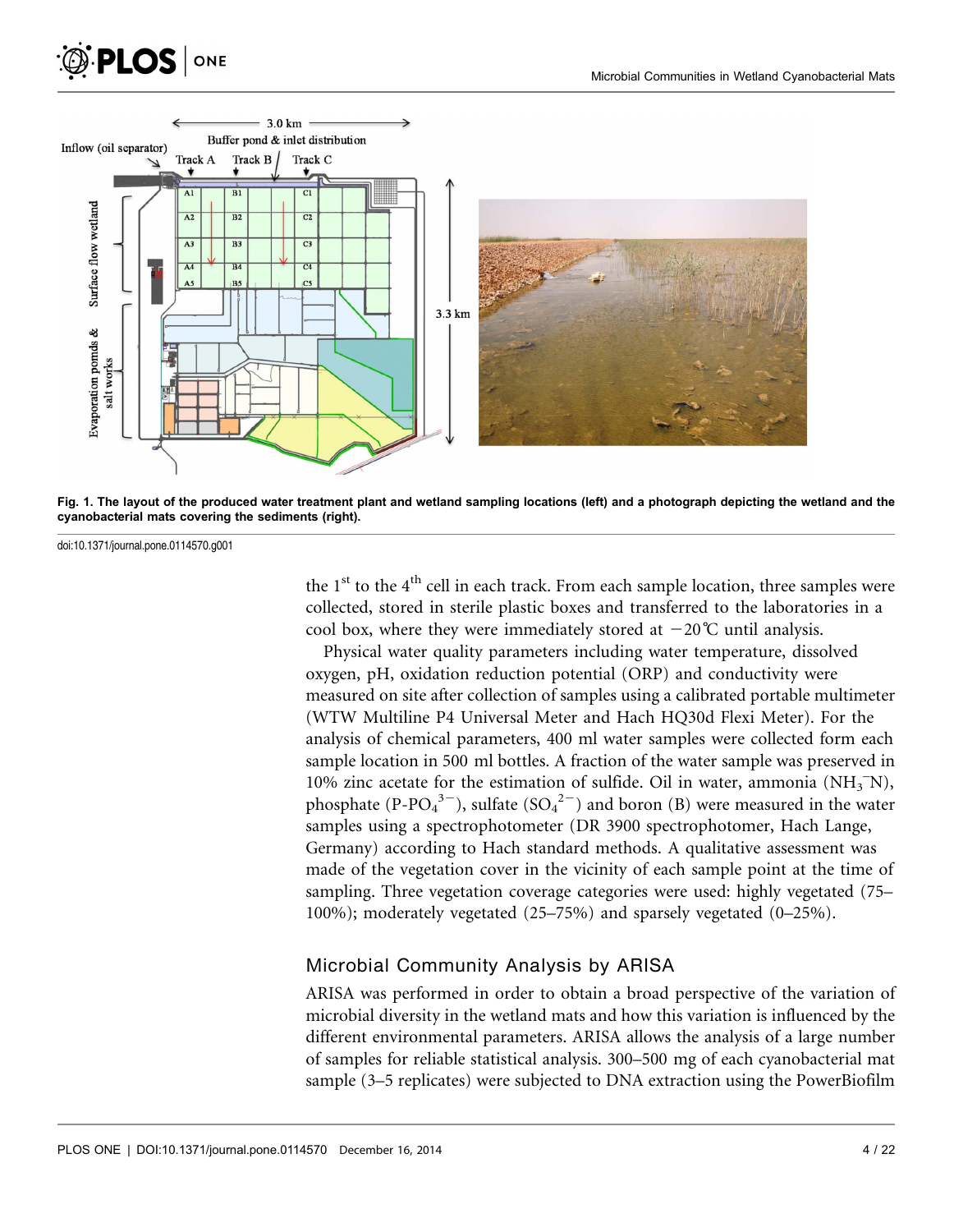<span id="page-3-0"></span>



Fig. 1. The layout of the produced water treatment plant and wetland sampling locations (left) and a photograph depicting the wetland and the cyanobacterial mats covering the sediments (right).

doi:10.1371/journal.pone.0114570.g001

the  $1<sup>st</sup>$  to the  $4<sup>th</sup>$  cell in each track. From each sample location, three samples were collected, stored in sterile plastic boxes and transferred to the laboratories in a cool box, where they were immediately stored at  $-20^{\circ}$ C until analysis.

Physical water quality parameters including water temperature, dissolved oxygen, pH, oxidation reduction potential (ORP) and conductivity were measured on site after collection of samples using a calibrated portable multimeter (WTW Multiline P4 Universal Meter and Hach HQ30d Flexi Meter). For the analysis of chemical parameters, 400 ml water samples were collected form each sample location in 500 ml bottles. A fraction of the water sample was preserved in 10% zinc acetate for the estimation of sulfide. Oil in water, ammonia  $(NH_3^-N)$ , phosphate (P-PO<sub>4</sub><sup>3–</sup>), sulfate (SO<sub>4</sub><sup>2–</sup>) and boron (B) were measured in the water samples using a spectrophotometer (DR 3900 spectrophotomer, Hach Lange, Germany) according to Hach standard methods. A qualitative assessment was made of the vegetation cover in the vicinity of each sample point at the time of sampling. Three vegetation coverage categories were used: highly vegetated (75– 100%); moderately vegetated (25–75%) and sparsely vegetated (0–25%).

#### Microbial Community Analysis by ARISA

ARISA was performed in order to obtain a broad perspective of the variation of microbial diversity in the wetland mats and how this variation is influenced by the different environmental parameters. ARISA allows the analysis of a large number of samples for reliable statistical analysis. 300–500 mg of each cyanobacterial mat sample (3–5 replicates) were subjected to DNA extraction using the PowerBiofilm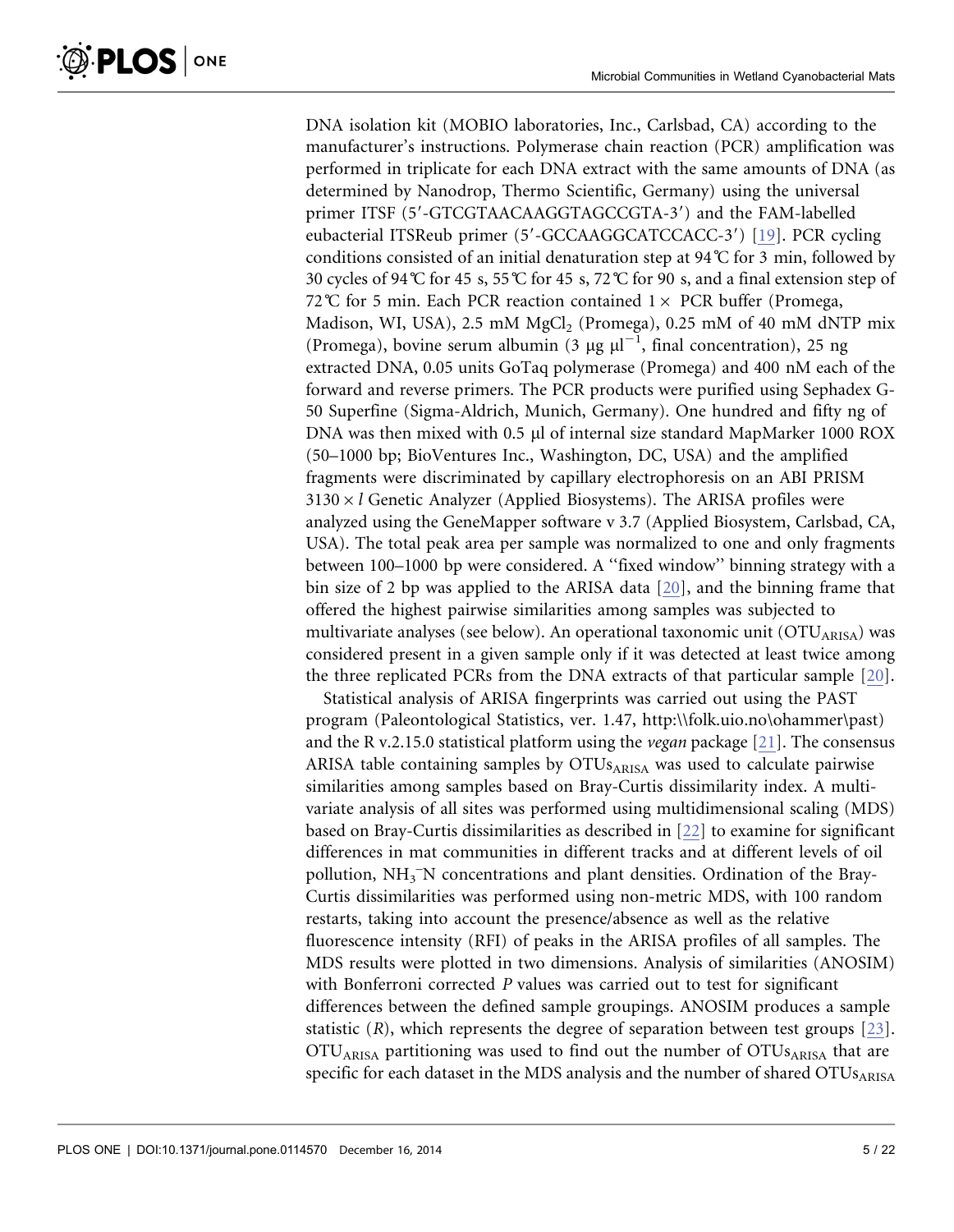DNA isolation kit (MOBIO laboratories, Inc., Carlsbad, CA) according to the manufacturer's instructions. Polymerase chain reaction (PCR) amplification was performed in triplicate for each DNA extract with the same amounts of DNA (as determined by Nanodrop, Thermo Scientific, Germany) using the universal primer ITSF (5'-GTCGTAACAAGGTAGCCGTA-3') and the FAM-labelled eubacterial ITSReub primer (5'-GCCAAGGCATCCACC-3') [\[19\]](#page-18-0). PCR cycling conditions consisted of an initial denaturation step at 94 $\degree$ C for 3 min, followed by 30 cycles of 94 °C for 45 s, 55 °C for 45 s, 72 °C for 90 s, and a final extension step of 72°C for 5 min. Each PCR reaction contained  $1 \times$  PCR buffer (Promega, Madison, WI, USA), 2.5 mM  $MgCl<sub>2</sub>$  (Promega), 0.25 mM of 40 mM dNTP mix (Promega), bovine serum albumin (3  $\mu$ g  $\mu$ l<sup>-1</sup>, final concentration), 25 ng extracted DNA, 0.05 units GoTaq polymerase (Promega) and 400 nM each of the forward and reverse primers. The PCR products were purified using Sephadex G-50 Superfine (Sigma-Aldrich, Munich, Germany). One hundred and fifty ng of DNA was then mixed with 0.5  $\mu$ l of internal size standard MapMarker 1000 ROX (50–1000 bp; BioVentures Inc., Washington, DC, USA) and the amplified fragments were discriminated by capillary electrophoresis on an ABI PRISM  $3130 \times l$  Genetic Analyzer (Applied Biosystems). The ARISA profiles were analyzed using the GeneMapper software v 3.7 (Applied Biosystem, Carlsbad, CA, USA). The total peak area per sample was normalized to one and only fragments between 100–1000 bp were considered. A ''fixed window'' binning strategy with a bin size of 2 bp was applied to the ARISA data [\[20\],](#page-18-0) and the binning frame that offered the highest pairwise similarities among samples was subjected to multivariate analyses (see below). An operational taxonomic unit  $(OTU<sub>ARISA</sub>)$  was considered present in a given sample only if it was detected at least twice among the three replicated PCRs from the DNA extracts of that particular sample [\[20\].](#page-18-0)

Statistical analysis of ARISA fingerprints was carried out using the PAST program (Paleontological Statistics, ver. 1.47, http:\\folk.uio.no\ohammer\past) and the R v.2.15.0 statistical platform using the *vegan* package [\[21\]](#page-18-0). The consensus ARISA table containing samples by  $OTUs<sub>ARISA</sub>$  was used to calculate pairwise similarities among samples based on Bray-Curtis dissimilarity index. A multivariate analysis of all sites was performed using multidimensional scaling (MDS) based on Bray-Curtis dissimilarities as described in [\[22\]](#page-18-0) to examine for significant differences in mat communities in different tracks and at different levels of oil pollution, NH<sub>3</sub> N concentrations and plant densities. Ordination of the Bray-Curtis dissimilarities was performed using non-metric MDS, with 100 random restarts, taking into account the presence/absence as well as the relative fluorescence intensity (RFI) of peaks in the ARISA profiles of all samples. The MDS results were plotted in two dimensions. Analysis of similarities (ANOSIM) with Bonferroni corrected P values was carried out to test for significant differences between the defined sample groupings. ANOSIM produces a sample statistic  $(R)$ , which represents the degree of separation between test groups  $[23]$ . OTU<sub>ARISA</sub> partitioning was used to find out the number of OTU<sub>SARISA</sub> that are specific for each dataset in the MDS analysis and the number of shared  $\text{OTUs}_{\text{ARISA}}$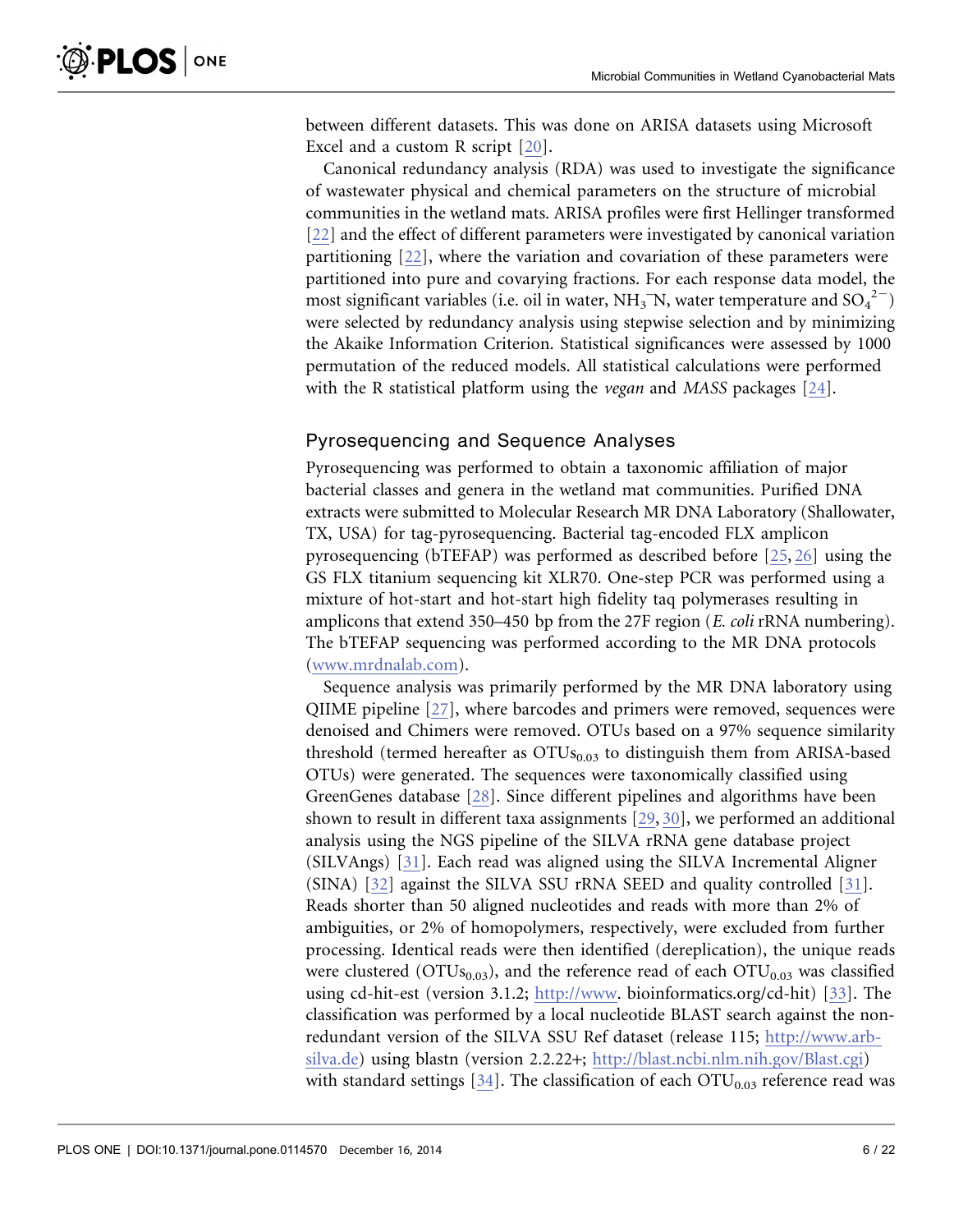between different datasets. This was done on ARISA datasets using Microsoft Excel and a custom R script [\[20\]](#page-18-0).

Canonical redundancy analysis (RDA) was used to investigate the significance of wastewater physical and chemical parameters on the structure of microbial communities in the wetland mats. ARISA profiles were first Hellinger transformed [\[22\]](#page-18-0) and the effect of different parameters were investigated by canonical variation partitioning [\[22\]](#page-18-0), where the variation and covariation of these parameters were partitioned into pure and covarying fractions. For each response data model, the most significant variables (i.e. oil in water,  $NH_3$ <sup>-</sup>N, water temperature and  $SO_4^2$ <sup>-</sup>) were selected by redundancy analysis using stepwise selection and by minimizing the Akaike Information Criterion. Statistical significances were assessed by 1000 permutation of the reduced models. All statistical calculations were performed with the R statistical platform using the vegan and MASS packages [\[24\].](#page-19-0)

# Pyrosequencing and Sequence Analyses

Pyrosequencing was performed to obtain a taxonomic affiliation of major bacterial classes and genera in the wetland mat communities. Purified DNA extracts were submitted to Molecular Research MR DNA Laboratory (Shallowater, TX, USA) for tag-pyrosequencing. Bacterial tag-encoded FLX amplicon pyrosequencing (bTEFAP) was performed as described before [\[25,](#page-19-0) [26\]](#page-19-0) using the GS FLX titanium sequencing kit XLR70. One-step PCR was performed using a mixture of hot-start and hot-start high fidelity taq polymerases resulting in amplicons that extend 350–450 bp from the 27F region (E. coli rRNA numbering). The bTEFAP sequencing was performed according to the MR DNA protocols (<www.mrdnalab.com>).

Sequence analysis was primarily performed by the MR DNA laboratory using QIIME pipeline [\[27\]](#page-19-0), where barcodes and primers were removed, sequences were denoised and Chimers were removed. OTUs based on a 97% sequence similarity threshold (termed hereafter as  $OTUs<sub>0.03</sub>$  to distinguish them from ARISA-based OTUs) were generated. The sequences were taxonomically classified using GreenGenes database [\[28\].](#page-19-0) Since different pipelines and algorithms have been shown to result in different taxa assignments [\[29,](#page-19-0) [30\],](#page-19-0) we performed an additional analysis using the NGS pipeline of the SILVA rRNA gene database project (SILVAngs) [\[31\]](#page-19-0). Each read was aligned using the SILVA Incremental Aligner (SINA) [\[32\]](#page-19-0) against the SILVA SSU rRNA SEED and quality controlled [\[31\].](#page-19-0) Reads shorter than 50 aligned nucleotides and reads with more than 2% of ambiguities, or 2% of homopolymers, respectively, were excluded from further processing. Identical reads were then identified (dereplication), the unique reads were clustered ( $\text{OTUs}_{0.03}$ ), and the reference read of each  $\text{OTU}_{0.03}$  was classified using cd-hit-est (version 3.1.2; <http://www>. bioinformatics.org/cd-hit) [\[33\].](#page-19-0) The classification was performed by a local nucleotide BLAST search against the nonredundant version of the SILVA SSU Ref dataset (release 115; [http://www.arb](http://www.arb-silva.de)[silva.de](http://www.arb-silva.de)) using blastn (version 2.2.22+; <http://blast.ncbi.nlm.nih.gov/Blast.cgi>) with standard settings [\[34\]](#page-19-0). The classification of each  $\text{OTU}_{0.03}$  reference read was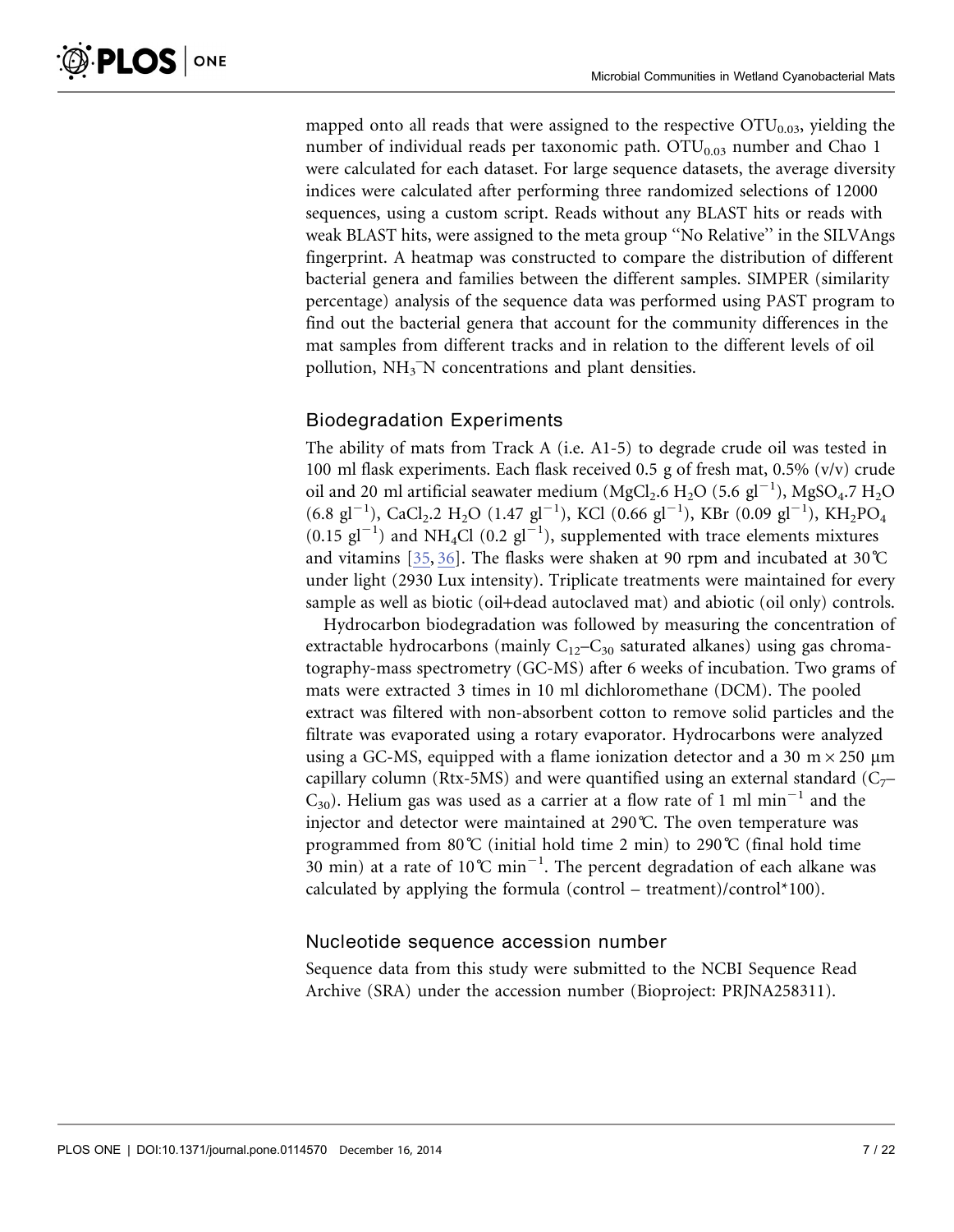mapped onto all reads that were assigned to the respective  $\text{OTU}_{0.03}$ , yielding the number of individual reads per taxonomic path.  $OTU<sub>0.03</sub>$  number and Chao 1 were calculated for each dataset. For large sequence datasets, the average diversity indices were calculated after performing three randomized selections of 12000 sequences, using a custom script. Reads without any BLAST hits or reads with weak BLAST hits, were assigned to the meta group ''No Relative'' in the SILVAngs fingerprint. A heatmap was constructed to compare the distribution of different bacterial genera and families between the different samples. SIMPER (similarity percentage) analysis of the sequence data was performed using PAST program to find out the bacterial genera that account for the community differences in the mat samples from different tracks and in relation to the different levels of oil pollution, NH<sub>3</sub><sup>-</sup>N concentrations and plant densities.

#### Biodegradation Experiments

The ability of mats from Track A (i.e. A1-5) to degrade crude oil was tested in 100 ml flask experiments. Each flask received 0.5 g of fresh mat, 0.5% (v/v) crude oil and 20 ml artificial seawater medium ( $MgCl_2$ .6  $H_2O$  (5.6  $gl^{-1}$ ),  $MgSO_4$ .7  $H_2O$  $(6.8 \text{ gl}^{-1})$ , CaCl<sub>2</sub>.2 H<sub>2</sub>O (1.47 gl<sup>-1</sup>), KCl (0.66 gl<sup>-1</sup>), KBr (0.09 gl<sup>-1</sup>), KH<sub>2</sub>PO<sub>4</sub>  $(0.15 \text{ gl}^{-1})$  and NH<sub>4</sub>Cl  $(0.2 \text{ gl}^{-1})$ , supplemented with trace elements mixtures and vitamins [\[35,](#page-19-0) [36\]](#page-19-0). The flasks were shaken at 90 rpm and incubated at 30˚C under light (2930 Lux intensity). Triplicate treatments were maintained for every sample as well as biotic (oil+dead autoclaved mat) and abiotic (oil only) controls.

Hydrocarbon biodegradation was followed by measuring the concentration of extractable hydrocarbons (mainly  $C_{12}-C_{30}$  saturated alkanes) using gas chromatography-mass spectrometry (GC-MS) after 6 weeks of incubation. Two grams of mats were extracted 3 times in 10 ml dichloromethane (DCM). The pooled extract was filtered with non-absorbent cotton to remove solid particles and the filtrate was evaporated using a rotary evaporator. Hydrocarbons were analyzed using a GC-MS, equipped with a flame ionization detector and a 30 m $\times$ 250  $\mu$ m capillary column (Rtx-5MS) and were quantified using an external standard ( $C_7$ –  $C_{30}$ ). Helium gas was used as a carrier at a flow rate of 1 ml min<sup>-1</sup> and the injector and detector were maintained at 290˚C. The oven temperature was programmed from 80°C (initial hold time 2 min) to 290°C (final hold time 30 min) at a rate of  $10^{\circ}$ C min<sup>-1</sup>. The percent degradation of each alkane was calculated by applying the formula (control – treatment)/control\*100).

#### Nucleotide sequence accession number

Sequence data from this study were submitted to the NCBI Sequence Read Archive (SRA) under the accession number (Bioproject: PRJNA258311).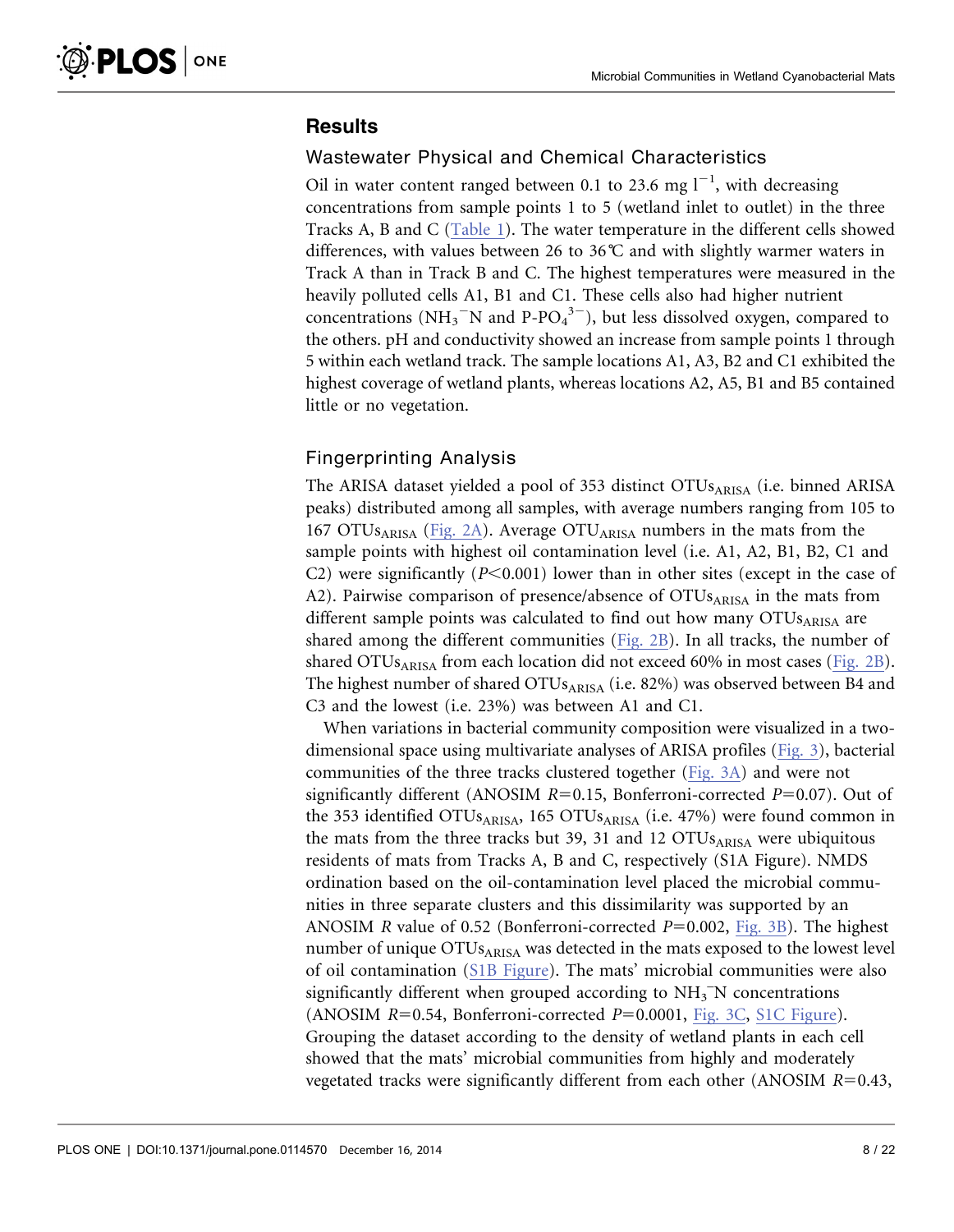# **Results**

#### Wastewater Physical and Chemical Characteristics

Oil in water content ranged between 0.1 to 23.6 mg  $I^{-1}$ , with decreasing concentrations from sample points 1 to 5 (wetland inlet to outlet) in the three Tracks A, B and C [\(Table 1](#page-8-0)). The water temperature in the different cells showed differences, with values between 26 to 36˚C and with slightly warmer waters in Track A than in Track B and C. The highest temperatures were measured in the heavily polluted cells A1, B1 and C1. These cells also had higher nutrient concentrations (NH<sub>3</sub><sup>-</sup>N and P-PO<sub>4</sub><sup>3-</sup>), but less dissolved oxygen, compared to the others. pH and conductivity showed an increase from sample points 1 through 5 within each wetland track. The sample locations A1, A3, B2 and C1 exhibited the highest coverage of wetland plants, whereas locations A2, A5, B1 and B5 contained little or no vegetation.

#### Fingerprinting Analysis

The ARISA dataset yielded a pool of 353 distinct OTUs<sub>ARISA</sub> (i.e. binned ARISA peaks) distributed among all samples, with average numbers ranging from 105 to 167 OTUs<sub>ARISA</sub> [\(Fig. 2A\)](#page-9-0). Average OTU<sub>ARISA</sub> numbers in the mats from the sample points with highest oil contamination level (i.e. A1, A2, B1, B2, C1 and C2) were significantly ( $P<0.001$ ) lower than in other sites (except in the case of A2). Pairwise comparison of presence/absence of  $OTUs<sub>ARISA</sub>$  in the mats from different sample points was calculated to find out how many  $OTUs_{ARISA}$  are shared among the different communities  $(Fig. 2B)$  $(Fig. 2B)$ . In all tracks, the number of shared OTUs<sub>ARISA</sub> from each location did not exceed 60% in most cases ([Fig. 2B\)](#page-9-0). The highest number of shared  $\text{OTUs}_{\text{ARISA}}$  (i.e. 82%) was observed between B4 and C3 and the lowest (i.e. 23%) was between A1 and C1.

When variations in bacterial community composition were visualized in a twodimensional space using multivariate analyses of ARISA profiles [\(Fig. 3\)](#page-9-0), bacterial communities of the three tracks clustered together ([Fig. 3A\)](#page-9-0) and were not significantly different (ANOSIM  $R=0.15$ , Bonferroni-corrected  $P=0.07$ ). Out of the 353 identified OTUs $_{ARISA}$ , 165 OTUs $_{ARISA}$  (i.e. 47%) were found common in the mats from the three tracks but 39, 31 and 12  $\text{OTUs}_{\text{ARISA}}$  were ubiquitous residents of mats from Tracks A, B and C, respectively (S1A Figure). NMDS ordination based on the oil-contamination level placed the microbial communities in three separate clusters and this dissimilarity was supported by an ANOSIM R value of 0.52 (Bonferroni-corrected  $P=0.002$ , [Fig. 3B](#page-9-0)). The highest number of unique OTUs<sub>ARISA</sub> was detected in the mats exposed to the lowest level of oil contamination [\(S1B Figure](#page-17-0)). The mats' microbial communities were also significantly different when grouped according to  $NH<sub>3</sub>^-N$  concentrations (ANOSIM  $R=0.54$ , Bonferroni-corrected  $P=0.0001$ , [Fig. 3C,](#page-9-0) [S1C Figure](#page-17-0)). Grouping the dataset according to the density of wetland plants in each cell showed that the mats' microbial communities from highly and moderately vegetated tracks were significantly different from each other (ANOSIM  $R=0.43$ ,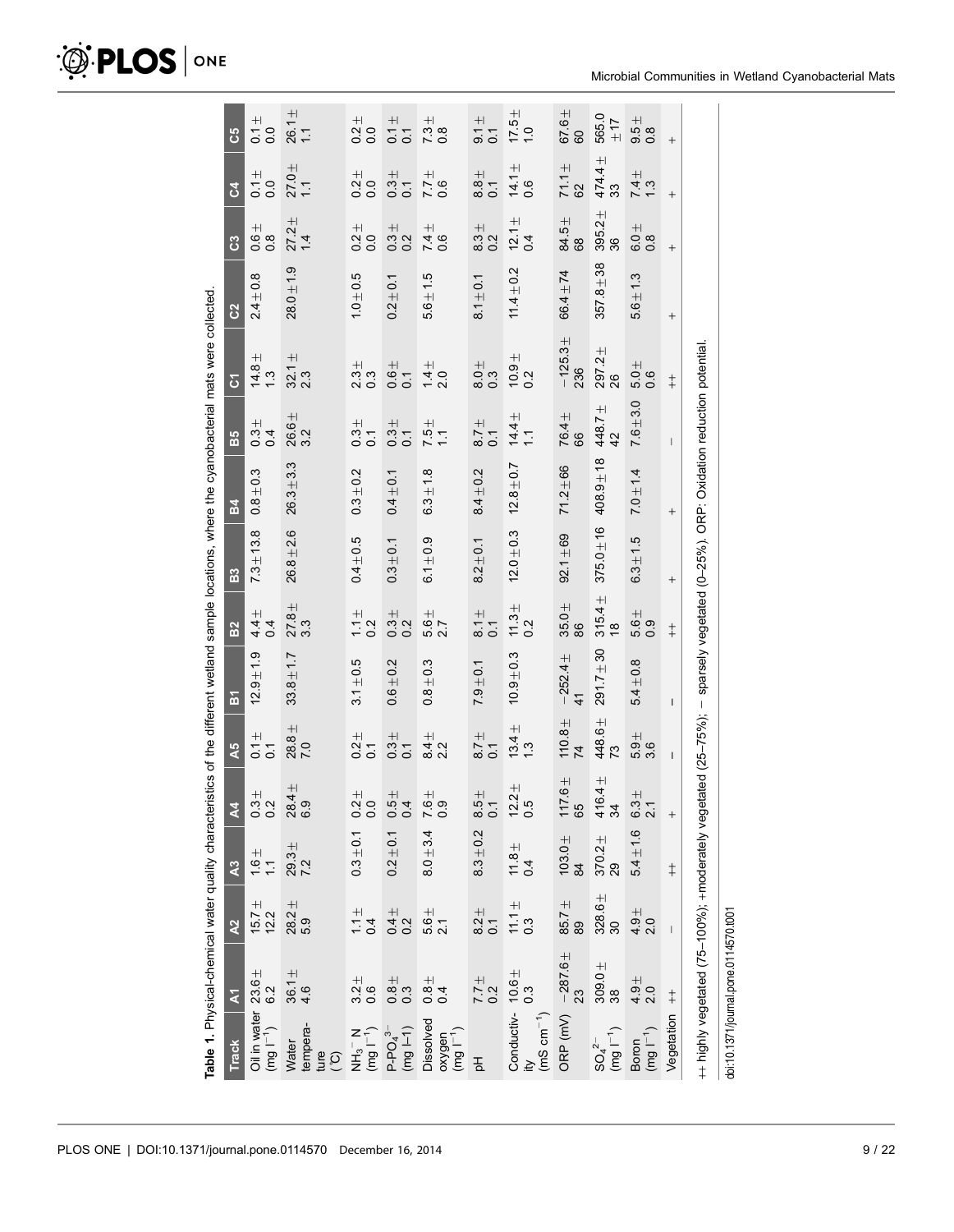|                                                                                | Table 1. Physical-chemical water quality characteristics of the different wetland sample locations, where the cyanobacterial mats were collected |                                       |                        |                                                                 |                           |                              |                            |                |               |                                                     |                                               |                |                                             |                       |                                              |
|--------------------------------------------------------------------------------|--------------------------------------------------------------------------------------------------------------------------------------------------|---------------------------------------|------------------------|-----------------------------------------------------------------|---------------------------|------------------------------|----------------------------|----------------|---------------|-----------------------------------------------------|-----------------------------------------------|----------------|---------------------------------------------|-----------------------|----------------------------------------------|
| <b>Track</b>                                                                   | $\overline{\mathbf{z}}$                                                                                                                          | $\lambda$                             | $\lambda$ 3            | $\mathbf{z}$                                                    | A <sub>5</sub>            | $\overline{a}$               | B <sub>2</sub>             | B <sub>3</sub> | <b>B4</b>     | B5                                                  | $\overline{c}$                                | C <sub>2</sub> | ී                                           | 3                     | ပိ                                           |
| Oil in water $23.6 \pm$<br>(mg l <sup>-1</sup> ) 6.2                           |                                                                                                                                                  | $15.7 +$<br>12.2                      | $\frac{1}{1}$ .        | $^{+}$<br>3 2<br>0 2                                            | $\frac{+1}{20}$           | $12.9 + 1.9$                 | $44$<br>$44$<br>$4$        | $7.3 \pm 13.8$ | $0.8 + 0.3$   | $\begin{array}{c} 1 + 1 \\ 0 \\ 0 \\ 4 \end{array}$ | $\frac{14.8}{1.3}$                            | $2.4 + 0.8$    | $0.8$<br>0.8                                | $\frac{+1}{0}$<br>0.0 | $\begin{array}{c} +1 \\ -0 \\ 0 \end{array}$ |
| Water<br>tempera-<br>ture<br>(°C)                                              | $36.1 +$<br>4.6                                                                                                                                  | $28.2 +$<br>5.9                       | $7.2$<br>7.2           | $28.4 +$<br>6.9                                                 | 28.8 <sub>±</sub><br>7.0  | $33.8 + 1.7$                 | $27.8 \pm$<br>33           | $26.8 + 2.6$   | $26.3 + 3.3$  | 26.6±<br>3.2                                        | $\frac{32.1}{2.3}$                            | $28.0 \pm 1.9$ | 27.2 <sub>±</sub><br>$\overline{4}$         | $27.0 +$<br>1.1       | $26.1 \pm 1.1$                               |
|                                                                                | $3.2 + 0.6$                                                                                                                                      | $\frac{1}{1}$ 4<br>$\frac{1}{4}$      | $0.3 + 0.1$            | $\bf +$<br>$\frac{20}{20}$                                      | $\frac{+1}{0.7}$          | $3.1 + 0.5$                  | $11/2$<br>$-2$             | $0.4 + 0.5$    | $0.3 + 0.2$   | $\frac{1}{3}$<br>0.7                                | $\frac{1}{3}$<br>0.3                          | $1.0 + 0.5$    | $0.0 + 0.0$                                 | $\frac{1}{20}$        | $\frac{1}{20}$                               |
| $NH_3^- N$<br>(mg $I^{-1}$ )<br>P-PO <sub>4</sub> <sup>3-</sup><br>(mg $I-1$ ) | $\begin{array}{c} 1, 8 \\ 0.3 \end{array}$                                                                                                       | $0.4 + 0.2 + 0.0$                     | $0.2 + 0.1$            | $+1$<br>004                                                     | $\frac{1}{0.7}$           | $0.6 + 0.2$                  | $0.3 +$<br>0.2             | $0.3 + 0.1$    | $0.4 + 0.1$   | $\frac{4}{3}$<br>0.7                                | $\frac{+1}{0.7}$                              | $0.2 + 0.1$    | $\begin{array}{c} 1 + 1 \\ 0.2 \end{array}$ | $\frac{3}{0.7}$       | $\frac{+}{0.1}$<br>$\overline{0}$            |
| Dissolved<br>oxygen<br>(mg l <sup>-1</sup> )                                   |                                                                                                                                                  | $\frac{6}{21}$                        | $8.0 + 3.4$            | $\pm$<br>$\begin{smallmatrix} 6 & 0 \\ 0 & 0 \end{smallmatrix}$ | $\frac{4}{3}$ 2<br>2.2    | $0.8 + 0.3$                  | $\frac{1}{5.0} +$          | $6.1 \pm 0.9$  | $6.3 \pm 1.8$ | $7.5 +$<br>1.1                                      | $\frac{1}{4}$ 0.0                             | $5.6 + 1.5$    | $74.6$<br>0.6                               | $\frac{9}{17}$<br>0.6 | $734$<br>0.8                                 |
| $rac{1}{2}$                                                                    | $774$<br>0.2                                                                                                                                     | $\frac{1}{8}$<br>0.1                  | $8.3 + 0.2$            | $\pm$<br>$rac{5}{8}$                                            | $\frac{+}{8}$<br>0.1      | $7.9 + 0.1$                  | $8.1 +$<br>$\overline{0}$  | $8.2 + 0.1$    | $8.4 + 0.2$   | $\frac{+}{8}$<br>0.1                                | $\begin{array}{c} +1 \ 0 \ 0 \ 0 \end{array}$ | $8.1 + 0.1$    | $\frac{1}{3}$<br>8.2                        | $\frac{+1}{8}$<br>8.0 | $\frac{+1}{5}$ 5.                            |
| Conductiv- $10.6 \pm$<br>tiy $0.3$<br>(mS cm <sup>-1</sup> )                   |                                                                                                                                                  | $\frac{111}{11}$                      | $\frac{11.8}{4}$       | $\frac{12.2}{0.5}$                                              | $13.4 +$<br>1.3           | $10.9 + 0.3$                 | $\frac{11.3}{0.2}$         | $12.0 \pm 0.3$ | $12.8 + 0.7$  | $14.4 \pm$<br>$\overline{1}$                        | $\frac{10.9}{0.2}$                            | $11.4 + 0.2$   | $12.1 \pm$<br>0.4                           | $\frac{14.1}{0.6}$    | $17.5 +$<br>1.0                              |
|                                                                                | ORP (mV) $-287.6 \pm 23$                                                                                                                         | $85.7 +$<br>89                        | $\frac{103.0 \pm}{84}$ | $117.6 +$<br>65                                                 | $110.8 +$<br>74           | $-252.4 +$<br>$\overline{4}$ | $35.0 \pm$<br>88           | $92.1 \pm 69$  | $71.2 + 66$   | 76.4 ±<br>89                                        | $-125.3 + 236$                                | $66.4 \pm 74$  | 84.5±<br>68                                 | $71.1 +$<br>62        | 67.6 ±<br>60                                 |
| $SO_4^{2-}$<br>(mg $I^{-1}$ )                                                  | $309.0 +$<br>38                                                                                                                                  | $328.6 +$<br>30                       | $\frac{370.2}{29}$     | $\frac{416.4 \pm}{34}$                                          | 448.6±<br>$\overline{73}$ | 291.7±30                     | $315.4 +$<br>$\frac{8}{3}$ | $375.0 \pm 16$ | $408.9 + 18$  | 448.7 ±<br>42                                       | $297.2 +$<br>26                               | $357.8 + 38$   | $395.2 +$<br>36                             | $474.4 +$<br>33       | 565.0<br>$\overline{11}$                     |
| $\begin{array}{lll} \text{Boron} \\ (mg \, \text{I}^{-1}) \end{array}$         | $4.9 + 0.0 + 2.0$                                                                                                                                | $4.9 + 0.0 + 2.0$                     | $5.4 + 1.6$            | $+$<br>3<br>6 2<br>9                                            | 5.96<br>5.96              | $5.4 + 0.8$                  | $5.6 \pm$<br>0.9           | $6.3 + 1.5$    | $7.0 + 1.4$   | $7.6 + 3.0$                                         | $5.0 +$<br>0.6                                | $5.6 + 1.3$    | $0.8$<br>0.8                                | 74.3                  | $\frac{1}{5}$<br>0.8                         |
| Vegetation                                                                     | $\dagger$                                                                                                                                        | $\begin{array}{c} \hline \end{array}$ | $\ddagger$             |                                                                 | $\mathsf{I}$              | $\overline{\phantom{a}}$     | $\ddagger$                 | $^{+}$         | $\! + \!$     | $\mathsf{I}$                                        | $\ddagger$                                    | $^{+}$         | $\qquad \qquad +$                           | $^{+}$                | $^{+}$                                       |
|                                                                                | ++ highly vegetated (75–100%); +moderately vegetated (25–75%); - sparsely vegetated (0–25%). ORP: Oxidation reduction potential                  |                                       |                        |                                                                 |                           |                              |                            |                |               |                                                     |                                               |                |                                             |                       |                                              |

# <span id="page-8-0"></span> $\mathcal{D}$  PLOS | ONE

doi:10.1371/journal.pone.0114570.t001

doi:10.1371/journal.pone.0114570.t001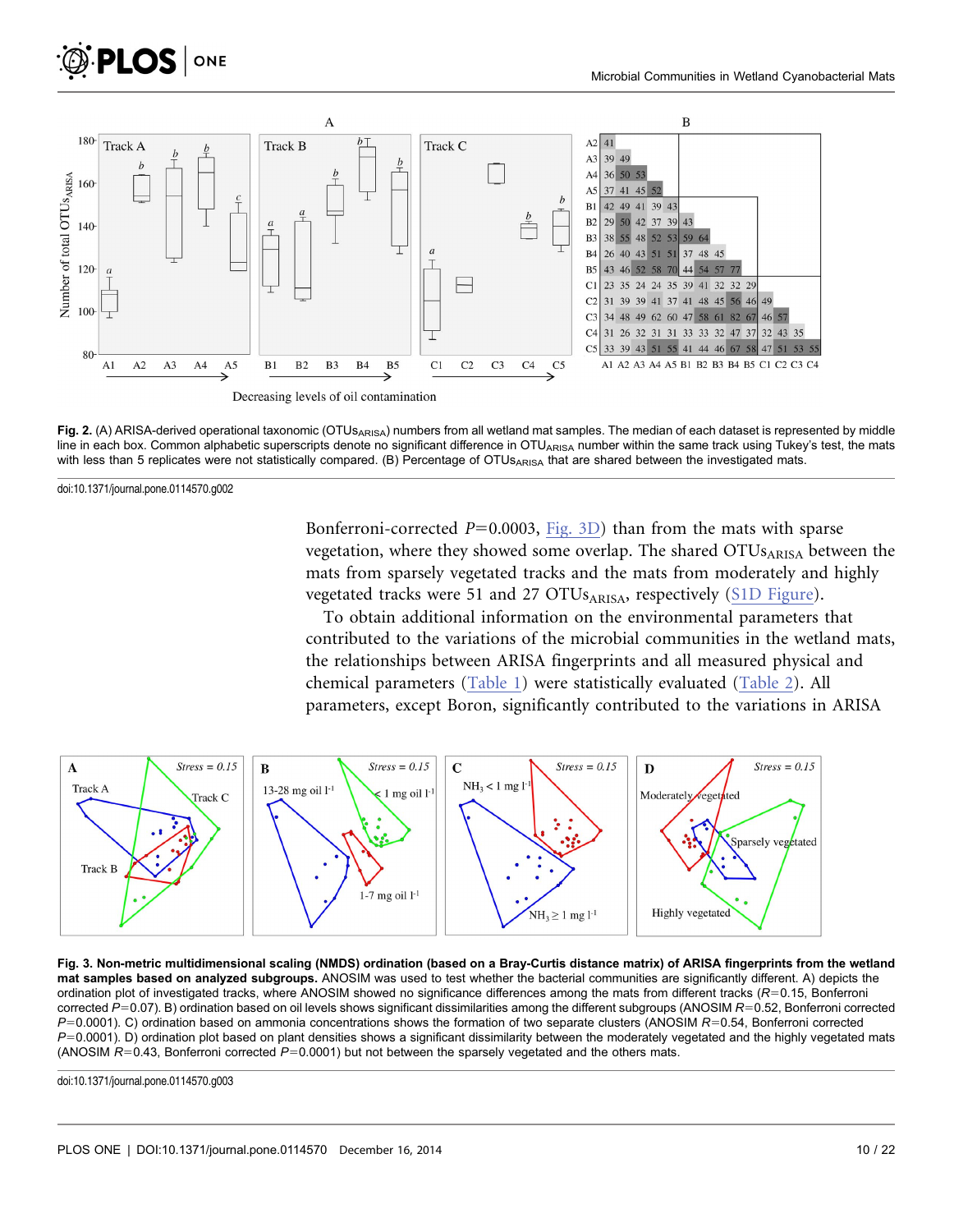<span id="page-9-0"></span>



Fig. 2. (A) ARISA-derived operational taxonomic (OTUs<sub>ARISA</sub>) numbers from all wetland mat samples. The median of each dataset is represented by middle line in each box. Common alphabetic superscripts denote no significant difference in OTU<sub>ARISA</sub> number within the same track using Tukey's test, the mats with less than 5 replicates were not statistically compared. (B) Percentage of OTUsARISA that are shared between the investigated mats.

doi:10.1371/journal.pone.0114570.g002

Bonferroni-corrected  $P=0.0003$ , Fig. 3D) than from the mats with sparse vegetation, where they showed some overlap. The shared OTUs<sub>ARISA</sub> between the mats from sparsely vegetated tracks and the mats from moderately and highly vegetated tracks were 51 and 27 OTUsARISA, respectively ([S1D Figure](#page-17-0)).

To obtain additional information on the environmental parameters that contributed to the variations of the microbial communities in the wetland mats, the relationships between ARISA fingerprints and all measured physical and chemical parameters [\(Table 1\)](#page-8-0) were statistically evaluated ([Table 2](#page-10-0)). All parameters, except Boron, significantly contributed to the variations in ARISA



Fig. 3. Non-metric multidimensional scaling (NMDS) ordination (based on a Bray-Curtis distance matrix) of ARISA fingerprints from the wetland mat samples based on analyzed subgroups. ANOSIM was used to test whether the bacterial communities are significantly different. A) depicts the ordination plot of investigated tracks, where ANOSIM showed no significance differences among the mats from different tracks ( $R=0.15$ , Bonferroni corrected  $P=0.07$ ). B) ordination based on oil levels shows significant dissimilarities among the different subgroups (ANOSIM  $R=0.52$ , Bonferroni corrected  $P=0.0001$ ). C) ordination based on ammonia concentrations shows the formation of two separate clusters (ANOSIM  $R=0.54$ . Bonferroni corrected  $P=0.0001$ ). D) ordination plot based on plant densities shows a significant dissimilarity between the moderately vegetated and the highly vegetated mats (ANOSIM  $R=0.43$ , Bonferroni corrected  $P=0.0001$ ) but not between the sparsely vegetated and the others mats.

doi:10.1371/journal.pone.0114570.g003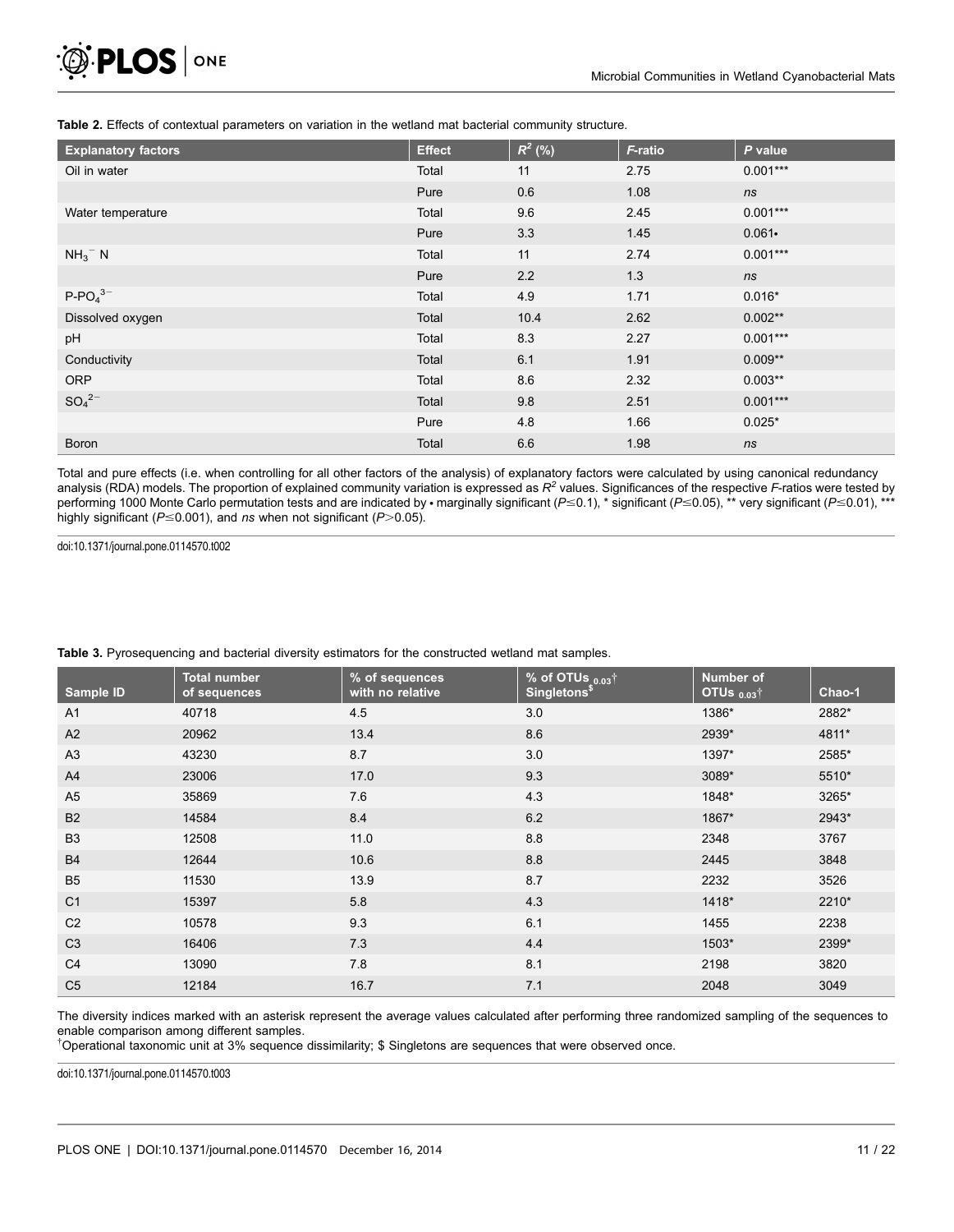<span id="page-10-0"></span>Table 2. Effects of contextual parameters on variation in the wetland mat bacterial community structure.

| <b>Explanatory factors</b> | <b>Effect</b> | $R^2$ (%) | F-ratio | P value    |
|----------------------------|---------------|-----------|---------|------------|
| Oil in water               | Total         | 11        | 2.75    | $0.001***$ |
|                            | Pure          | 0.6       | 1.08    | ns         |
| Water temperature          | Total         | 9.6       | 2.45    | $0.001***$ |
|                            | Pure          | 3.3       | 1.45    | $0.061 -$  |
| $NH_3^-$ N                 | Total         | 11        | 2.74    | $0.001***$ |
|                            | Pure          | 2.2       | 1.3     | ns         |
| $P-PO43-$                  | Total         | 4.9       | 1.71    | $0.016*$   |
| Dissolved oxygen           | Total         | 10.4      | 2.62    | $0.002**$  |
| pH                         | Total         | 8.3       | 2.27    | $0.001***$ |
| Conductivity               | Total         | 6.1       | 1.91    | $0.009**$  |
| <b>ORP</b>                 | Total         | 8.6       | 2.32    | $0.003**$  |
| $SO_4{}^{2-}$              | Total         | 9.8       | 2.51    | $0.001***$ |
|                            | Pure          | 4.8       | 1.66    | $0.025*$   |
| <b>Boron</b>               | Total         | 6.6       | 1.98    | ns         |

Total and pure effects (i.e. when controlling for all other factors of the analysis) of explanatory factors were calculated by using canonical redundancy analysis (RDA) models. The proportion of explained community variation is expressed as  $R<sup>2</sup>$  values. Significances of the respective F-ratios were tested by performing 1000 Monte Carlo permutation tests and are indicated by · marginally significant (P  $\leq$  0.1), \* significant (P  $\leq$  0.05), \*\* very significant (P  $\leq$  0.01), \*\*\* highly significant ( $P \le 0.001$ ), and ns when not significant ( $P > 0.05$ ).

doi:10.1371/journal.pone.0114570.t002

| Sample ID      | <b>Total number</b><br>of sequences | % of sequences<br>with no relative | $%$ of OTUs $0.03$ <sup>†</sup><br><b>Singletons</b> <sup>\$</sup> | <b>Number of</b><br>$OTUs$ <sub>0.03</sub> † | Chao-1 |
|----------------|-------------------------------------|------------------------------------|--------------------------------------------------------------------|----------------------------------------------|--------|
| A <sub>1</sub> | 40718                               | 4.5                                | 3.0                                                                | 1386*                                        | 2882*  |
| A2             | 20962                               | 13.4                               | 8.6                                                                | 2939*                                        | 4811*  |
| A3             | 43230                               | 8.7                                | 3.0                                                                | 1397*                                        | 2585*  |
| A4             | 23006                               | 17.0                               | 9.3                                                                | 3089*                                        | 5510*  |
| A <sub>5</sub> | 35869                               | 7.6                                | 4.3                                                                | 1848*                                        | 3265*  |
| <b>B2</b>      | 14584                               | 8.4                                | 6.2                                                                | 1867*                                        | 2943*  |
| B <sub>3</sub> | 12508                               | 11.0                               | 8.8                                                                | 2348                                         | 3767   |
| <b>B4</b>      | 12644                               | 10.6                               | 8.8                                                                | 2445                                         | 3848   |
| B <sub>5</sub> | 11530                               | 13.9                               | 8.7                                                                | 2232                                         | 3526   |
| C <sub>1</sub> | 15397                               | 5.8                                | 4.3                                                                | 1418*                                        | 2210*  |
| C <sub>2</sub> | 10578                               | 9.3                                | 6.1                                                                | 1455                                         | 2238   |
| C <sub>3</sub> | 16406                               | 7.3                                | 4.4                                                                | 1503*                                        | 2399*  |
| C <sub>4</sub> | 13090                               | 7.8                                | 8.1                                                                | 2198                                         | 3820   |
| C <sub>5</sub> | 12184                               | 16.7                               | 7.1                                                                | 2048                                         | 3049   |

Table 3. Pyrosequencing and bacterial diversity estimators for the constructed wetland mat samples.

The diversity indices marked with an asterisk represent the average values calculated after performing three randomized sampling of the sequences to enable comparison among different samples.

{ Operational taxonomic unit at 3% sequence dissimilarity; \$ Singletons are sequences that were observed once.

doi:10.1371/journal.pone.0114570.t003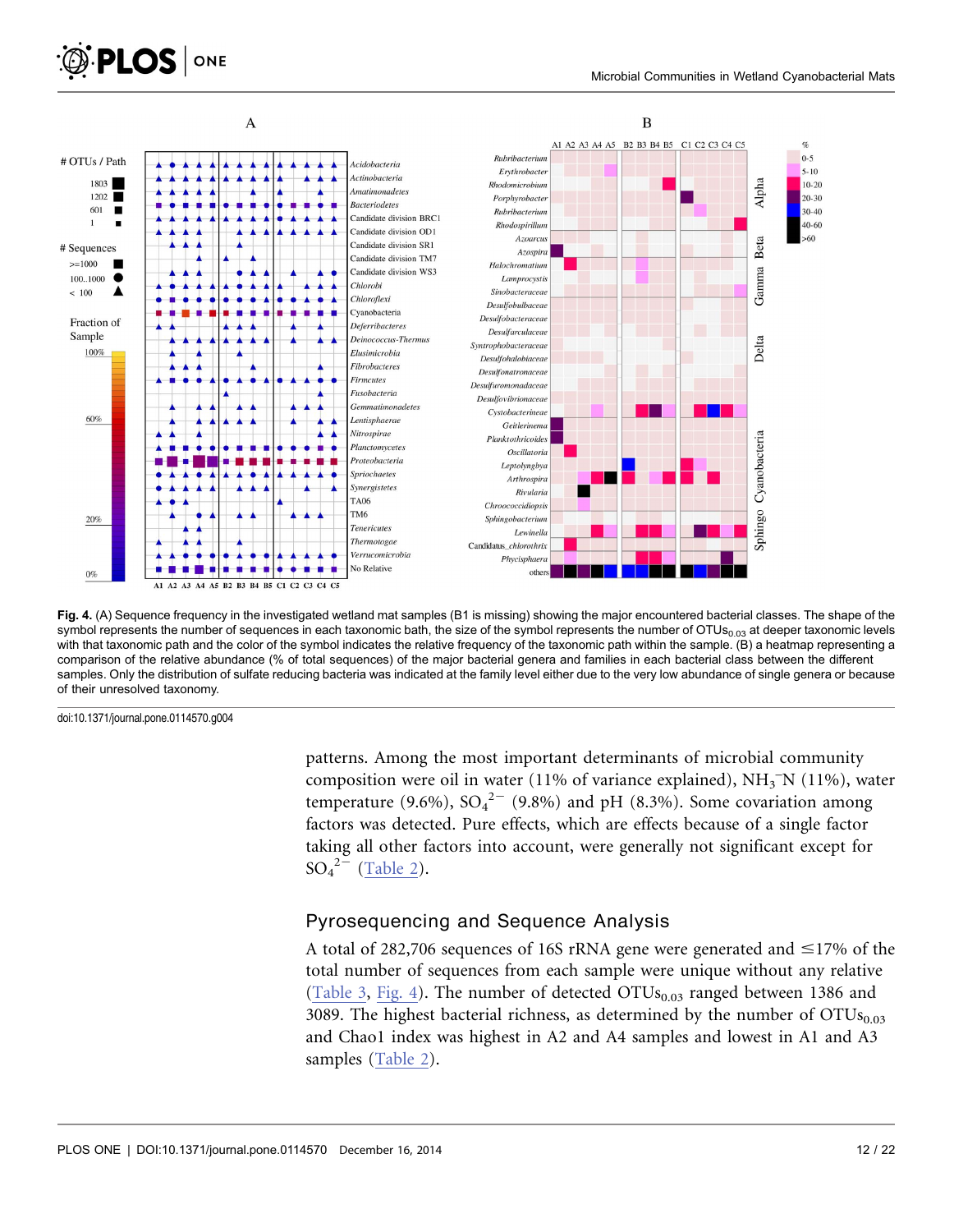<span id="page-11-0"></span>



Fig. 4. (A) Sequence frequency in the investigated wetland mat samples (B1 is missing) showing the major encountered bacterial classes. The shape of the symbol represents the number of sequences in each taxonomic bath, the size of the symbol represents the number of  $OTUs<sub>0.03</sub>$  at deeper taxonomic levels with that taxonomic path and the color of the symbol indicates the relative frequency of the taxonomic path within the sample. (B) a heatmap representing a comparison of the relative abundance (% of total sequences) of the major bacterial genera and families in each bacterial class between the different samples. Only the distribution of sulfate reducing bacteria was indicated at the family level either due to the very low abundance of single genera or because of their unresolved taxonomy.

doi:10.1371/journal.pone.0114570.g004

patterns. Among the most important determinants of microbial community composition were oil in water (11% of variance explained),  $NH_3^-N$  (11%), water temperature (9.6%),  $SO_4^2$ <sup>-</sup> (9.8%) and pH (8.3%). Some covariation among factors was detected. Pure effects, which are effects because of a single factor taking all other factors into account, were generally not significant except for  $SO_4^2$ <sup>2-</sup> ([Table 2\)](#page-10-0).

#### Pyrosequencing and Sequence Analysis

A total of 282,706 sequences of 16S rRNA gene were generated and  $\leq$ 17% of the total number of sequences from each sample were unique without any relative ([Table 3](#page-10-0), Fig. 4). The number of detected  $OTUs<sub>0.03</sub>$  ranged between 1386 and 3089. The highest bacterial richness, as determined by the number of  $\text{OTUs}_{0.03}$ and Chao1 index was highest in A2 and A4 samples and lowest in A1 and A3 samples ([Table 2](#page-10-0)).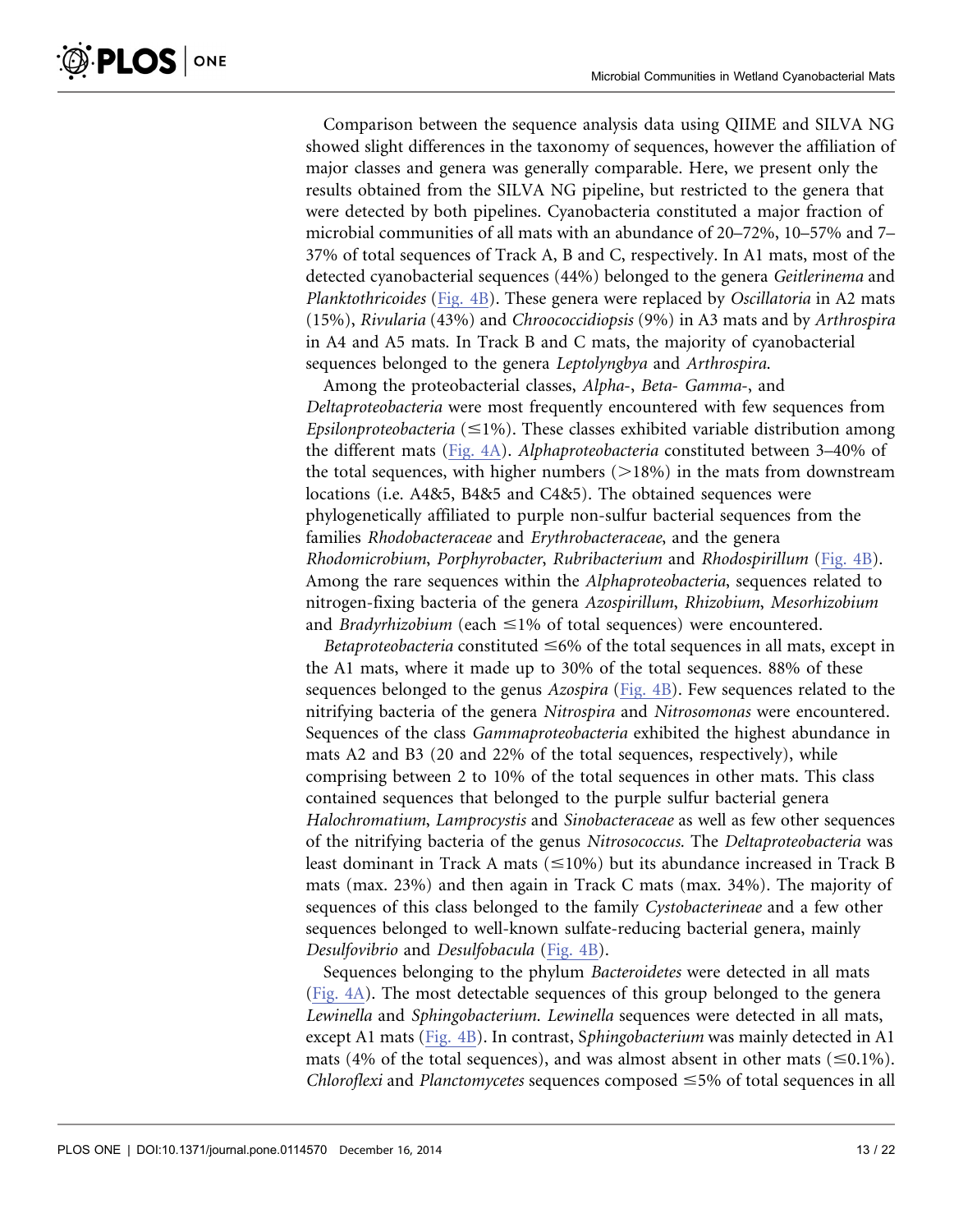Comparison between the sequence analysis data using QIIME and SILVA NG showed slight differences in the taxonomy of sequences, however the affiliation of major classes and genera was generally comparable. Here, we present only the results obtained from the SILVA NG pipeline, but restricted to the genera that were detected by both pipelines. Cyanobacteria constituted a major fraction of microbial communities of all mats with an abundance of 20–72%, 10–57% and 7– 37% of total sequences of Track A, B and C, respectively. In A1 mats, most of the detected cyanobacterial sequences (44%) belonged to the genera Geitlerinema and Planktothricoides ([Fig. 4B\)](#page-11-0). These genera were replaced by Oscillatoria in A2 mats (15%), Rivularia (43%) and Chroococcidiopsis (9%) in A3 mats and by Arthrospira in A4 and A5 mats. In Track B and C mats, the majority of cyanobacterial sequences belonged to the genera Leptolyngbya and Arthrospira.

Among the proteobacterial classes, Alpha-, Beta- Gamma-, and Deltaproteobacteria were most frequently encountered with few sequences from Epsilonproteobacteria ( $\leq$ 1%). These classes exhibited variable distribution among the different mats ([Fig. 4A\)](#page-11-0). Alphaproteobacteria constituted between 3–40% of the total sequences, with higher numbers  $(>18%)$  in the mats from downstream locations (i.e. A4&5, B4&5 and C4&5). The obtained sequences were phylogenetically affiliated to purple non-sulfur bacterial sequences from the families Rhodobacteraceae and Erythrobacteraceae, and the genera Rhodomicrobium, Porphyrobacter, Rubribacterium and Rhodospirillum [\(Fig. 4B](#page-11-0)). Among the rare sequences within the Alphaproteobacteria, sequences related to nitrogen-fixing bacteria of the genera Azospirillum, Rhizobium, Mesorhizobium and *Bradyrhizobium* (each  $\leq$ 1% of total sequences) were encountered.

Betaproteobacteria constituted  $\leq 6\%$  of the total sequences in all mats, except in the A1 mats, where it made up to 30% of the total sequences. 88% of these sequences belonged to the genus Azospira [\(Fig. 4B](#page-11-0)). Few sequences related to the nitrifying bacteria of the genera Nitrospira and Nitrosomonas were encountered. Sequences of the class Gammaproteobacteria exhibited the highest abundance in mats A2 and B3 (20 and 22% of the total sequences, respectively), while comprising between 2 to 10% of the total sequences in other mats. This class contained sequences that belonged to the purple sulfur bacterial genera Halochromatium, Lamprocystis and Sinobacteraceae as well as few other sequences of the nitrifying bacteria of the genus Nitrosococcus. The Deltaproteobacteria was least dominant in Track A mats ( $\leq$ 10%) but its abundance increased in Track B mats (max. 23%) and then again in Track C mats (max. 34%). The majority of sequences of this class belonged to the family Cystobacterineae and a few other sequences belonged to well-known sulfate-reducing bacterial genera, mainly Desulfovibrio and Desulfobacula [\(Fig. 4B](#page-11-0)).

Sequences belonging to the phylum Bacteroidetes were detected in all mats ([Fig. 4A](#page-11-0)). The most detectable sequences of this group belonged to the genera Lewinella and Sphingobacterium. Lewinella sequences were detected in all mats, except A1 mats [\(Fig. 4B](#page-11-0)). In contrast, Sphingobacterium was mainly detected in A1 mats (4% of the total sequences), and was almost absent in other mats ( $\leq 0.1\%$ ). Chloroflexi and Planctomycetes sequences composed  $\leq$ 5% of total sequences in all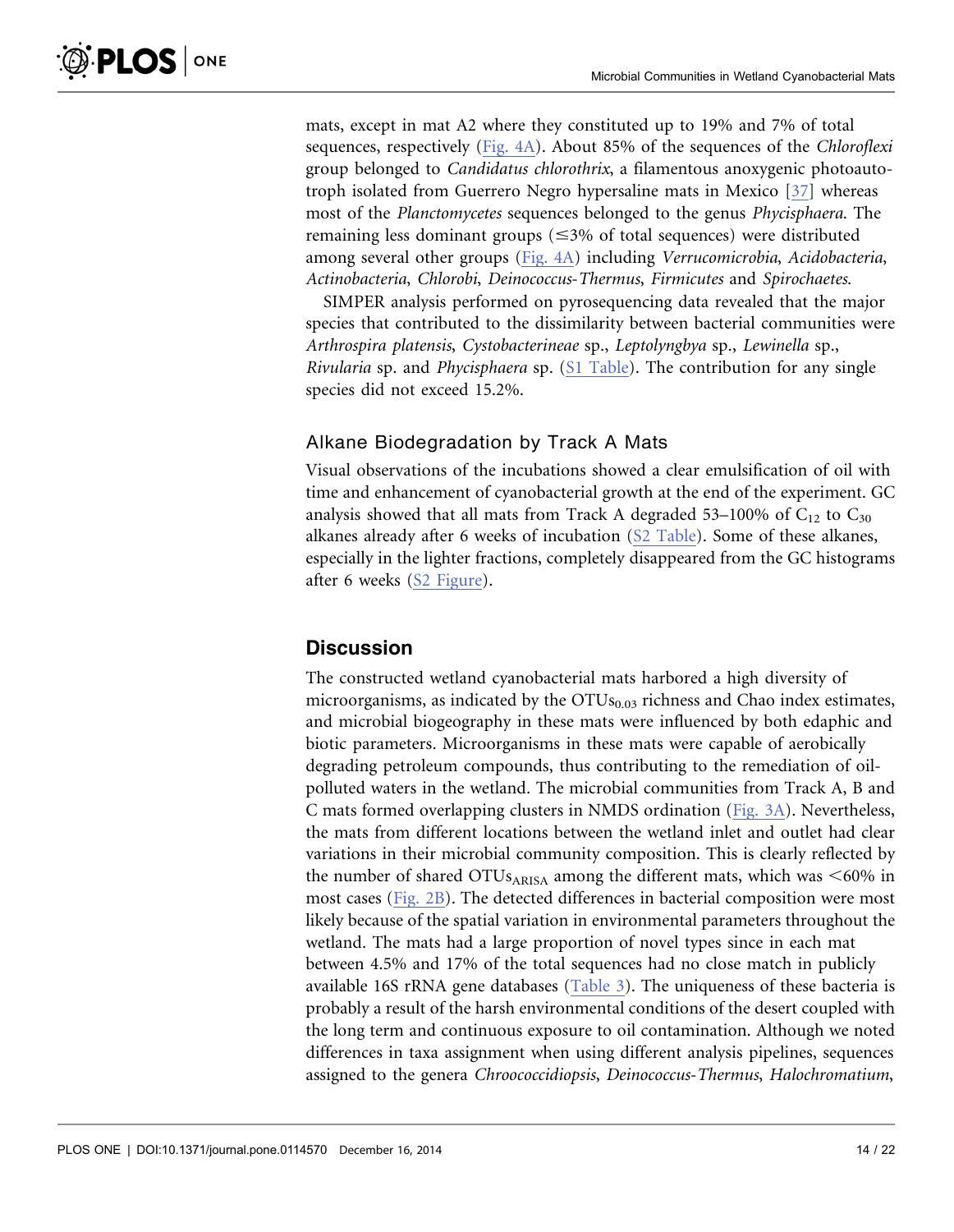mats, except in mat A2 where they constituted up to 19% and 7% of total sequences, respectively ([Fig. 4A\)](#page-11-0). About 85% of the sequences of the Chloroflexi group belonged to Candidatus chlorothrix, a filamentous anoxygenic photoautotroph isolated from Guerrero Negro hypersaline mats in Mexico [\[37\]](#page-19-0) whereas most of the Planctomycetes sequences belonged to the genus Phycisphaera. The remaining less dominant groups ( $\leq 3\%$  of total sequences) were distributed among several other groups [\(Fig. 4A\)](#page-11-0) including Verrucomicrobia, Acidobacteria, Actinobacteria, Chlorobi, Deinococcus-Thermus, Firmicutes and Spirochaetes.

SIMPER analysis performed on pyrosequencing data revealed that the major species that contributed to the dissimilarity between bacterial communities were Arthrospira platensis, Cystobacterineae sp., Leptolyngbya sp., Lewinella sp., Rivularia sp. and Phycisphaera sp. [\(S1 Table\)](#page-17-0). The contribution for any single species did not exceed 15.2%.

# Alkane Biodegradation by Track A Mats

Visual observations of the incubations showed a clear emulsification of oil with time and enhancement of cyanobacterial growth at the end of the experiment. GC analysis showed that all mats from Track A degraded 53–100% of  $C_{12}$  to  $C_{30}$ alkanes already after 6 weeks of incubation ([S2 Table\)](#page-17-0). Some of these alkanes, especially in the lighter fractions, completely disappeared from the GC histograms after 6 weeks [\(S2 Figure\)](#page-17-0).

# **Discussion**

The constructed wetland cyanobacterial mats harbored a high diversity of microorganisms, as indicated by the  $OTUs<sub>0.03</sub>$  richness and Chao index estimates, and microbial biogeography in these mats were influenced by both edaphic and biotic parameters. Microorganisms in these mats were capable of aerobically degrading petroleum compounds, thus contributing to the remediation of oilpolluted waters in the wetland. The microbial communities from Track A, B and C mats formed overlapping clusters in NMDS ordination [\(Fig. 3A](#page-9-0)). Nevertheless, the mats from different locations between the wetland inlet and outlet had clear variations in their microbial community composition. This is clearly reflected by the number of shared OTUs<sub>ARISA</sub> among the different mats, which was  $\leq 60\%$  in most cases ([Fig. 2B\)](#page-9-0). The detected differences in bacterial composition were most likely because of the spatial variation in environmental parameters throughout the wetland. The mats had a large proportion of novel types since in each mat between 4.5% and 17% of the total sequences had no close match in publicly available 16S rRNA gene databases [\(Table 3](#page-10-0)). The uniqueness of these bacteria is probably a result of the harsh environmental conditions of the desert coupled with the long term and continuous exposure to oil contamination. Although we noted differences in taxa assignment when using different analysis pipelines, sequences assigned to the genera Chroococcidiopsis, Deinococcus-Thermus, Halochromatium,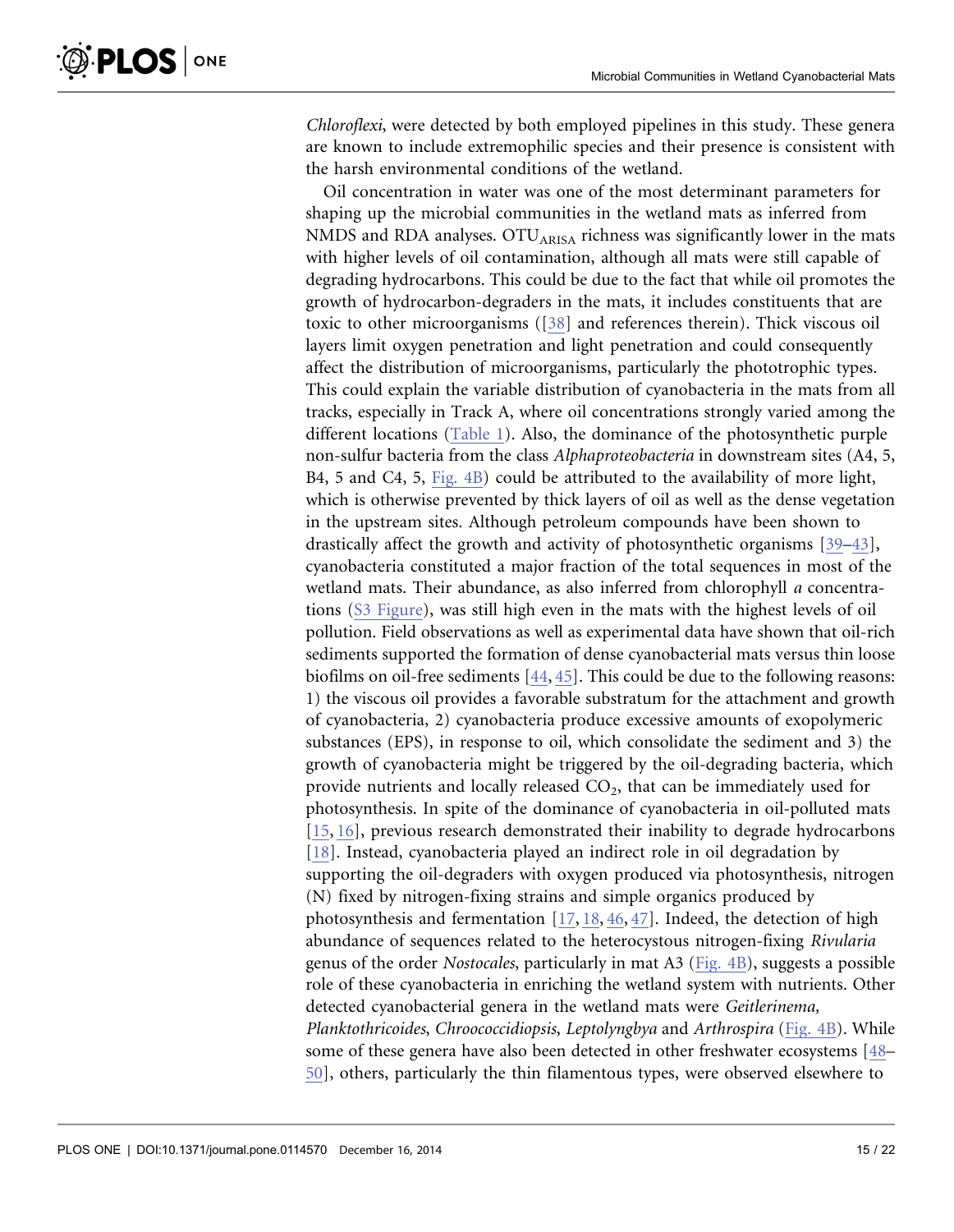Chloroflexi, were detected by both employed pipelines in this study. These genera are known to include extremophilic species and their presence is consistent with the harsh environmental conditions of the wetland.

Oil concentration in water was one of the most determinant parameters for shaping up the microbial communities in the wetland mats as inferred from NMDS and RDA analyses.  $\text{OTU}_{ARISA}$  richness was significantly lower in the mats with higher levels of oil contamination, although all mats were still capable of degrading hydrocarbons. This could be due to the fact that while oil promotes the growth of hydrocarbon-degraders in the mats, it includes constituents that are toxic to other microorganisms ([\[38\]](#page-19-0) and references therein). Thick viscous oil layers limit oxygen penetration and light penetration and could consequently affect the distribution of microorganisms, particularly the phototrophic types. This could explain the variable distribution of cyanobacteria in the mats from all tracks, especially in Track A, where oil concentrations strongly varied among the different locations [\(Table 1\)](#page-8-0). Also, the dominance of the photosynthetic purple non-sulfur bacteria from the class Alphaproteobacteria in downstream sites (A4, 5, B4, 5 and C4, 5, [Fig. 4B](#page-11-0)) could be attributed to the availability of more light, which is otherwise prevented by thick layers of oil as well as the dense vegetation in the upstream sites. Although petroleum compounds have been shown to drastically affect the growth and activity of photosynthetic organisms [\[39–43\]](#page-19-0), cyanobacteria constituted a major fraction of the total sequences in most of the wetland mats. Their abundance, as also inferred from chlorophyll a concentrations [\(S3 Figure\)](#page-17-0), was still high even in the mats with the highest levels of oil pollution. Field observations as well as experimental data have shown that oil-rich sediments supported the formation of dense cyanobacterial mats versus thin loose biofilms on oil-free sediments [\[44,](#page-19-0) [45](#page-20-0)[\].](#page-19-0) This could be due to the following reasons: 1) the viscous oil provides a favorable substratum for the attachment and growth of cyanobacteria, 2) cyanobacteria produce excessive amounts of exopolymeric substances (EPS), in response to oil, which consolidate the sediment and 3) the growth of cyanobacteria might be triggered by the oil-degrading bacteria, which provide nutrients and locally released  $CO<sub>2</sub>$ , that can be immediately used for photosynthesis. In spite of the dominance of cyanobacteria in oil-polluted mats [\[15,](#page-18-0) [16\]](#page-18-0), previous research demonstrated their inability to degrade hydrocarbons [\[18\].](#page-18-0) Instead, cyanobacteria played an indirect role in oil degradation by supporting the oil-degraders with oxygen produced via photosynthesis, nitrogen (N) fixed by nitrogen-fixing strains and simple organics produced by photosynthesis and fermentation [\[17,](#page-18-0) [18,](#page-18-0) [46,](#page-20-0) [47](#page-20-0)[\].](#page-18-0) Indeed, the detection of high abundance of sequences related to the heterocystous nitrogen-fixing Rivularia genus of the order Nostocales, particularly in mat A3 [\(Fig. 4B](#page-11-0)), suggests a possible role of these cyanobacteria in enriching the wetland system with nutrients. Other detected cyanobacterial genera in the wetland mats were Geitlerinema, Planktothricoides, Chroococcidiopsis, Leptolyngbya and Arthrospira [\(Fig. 4B](#page-11-0)). While some of these genera have also been detected in other freshwater ecosystems [\[48–](#page-20-0) [50\],](#page-20-0) others, particularly the thin filamentous types, were observed elsewhere to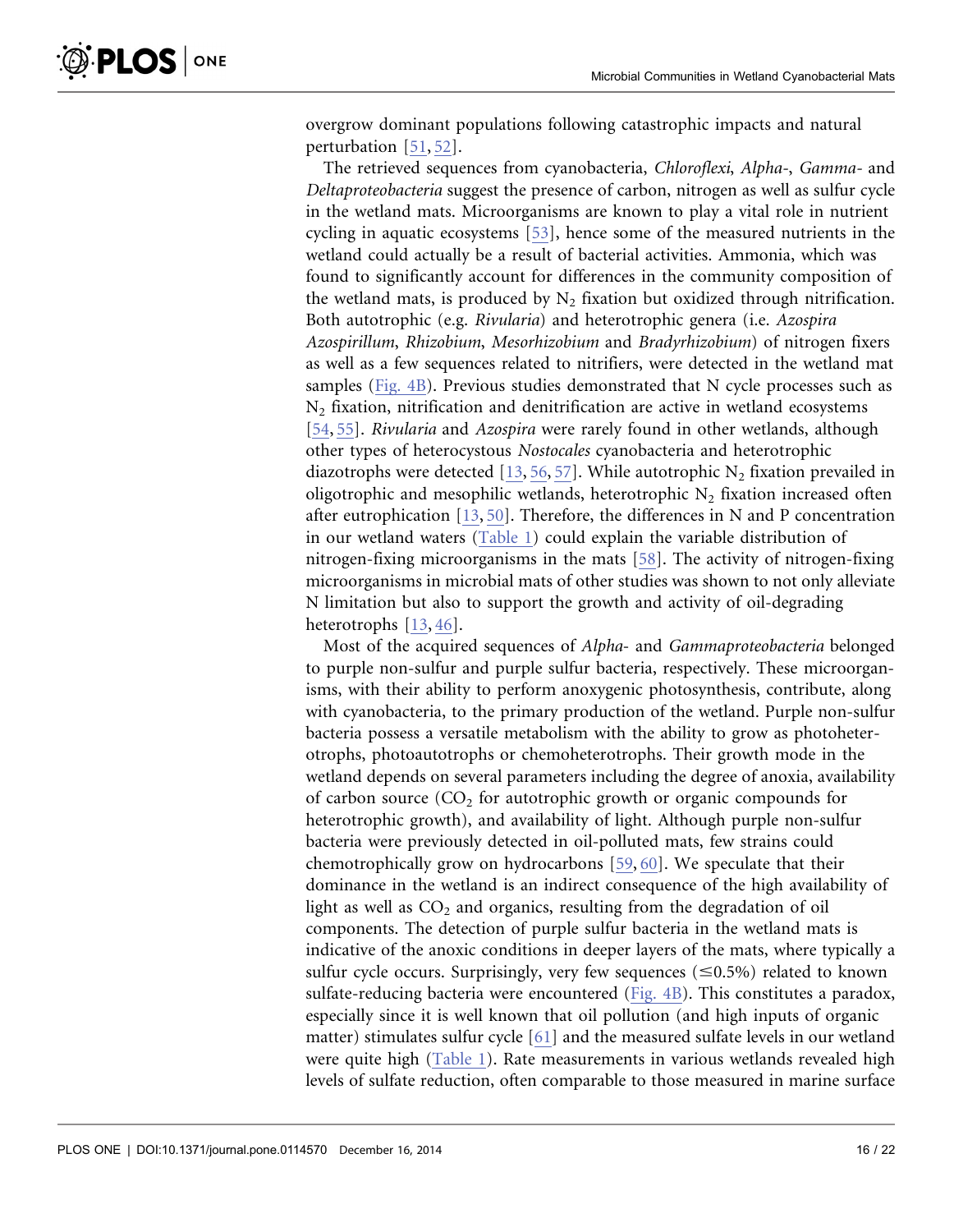overgrow dominant populations following catastrophic impacts and natural perturbation [\[51,](#page-20-0) [52\]](#page-20-0).

The retrieved sequences from cyanobacteria, Chloroflexi, Alpha-, Gamma- and Deltaproteobacteria suggest the presence of carbon, nitrogen as well as sulfur cycle in the wetland mats. Microorganisms are known to play a vital role in nutrient cycling in aquatic ecosystems [\[53\],](#page-20-0) hence some of the measured nutrients in the wetland could actually be a result of bacterial activities. Ammonia, which was found to significantly account for differences in the community composition of the wetland mats, is produced by  $N_2$  fixation but oxidized through nitrification. Both autotrophic (e.g. Rivularia) and heterotrophic genera (i.e. Azospira Azospirillum, Rhizobium, Mesorhizobium and Bradyrhizobium) of nitrogen fixers as well as a few sequences related to nitrifiers, were detected in the wetland mat samples ([Fig. 4B\)](#page-11-0). Previous studies demonstrated that N cycle processes such as N2 fixation, nitrification and denitrification are active in wetland ecosystems [\[54,](#page-20-0) [55\]](#page-20-0). Rivularia and Azospira were rarely found in other wetlands, although other types of heterocystous Nostocales cyanobacteria and heterotrophic diazotrophs were detected [\[13,](#page-18-0) [56,](#page-20-0) [57](#page-20-0)[\]](#page-18-0). While autotrophic  $N_2$  fixation prevailed in oligotrophic and mesophilic wetlands, heterotrophic  $N_2$  fixation increased often after eutrophication  $[13, 50]$  $[13, 50]$  $[13, 50]$ . Therefore, the differences in N and P concentration in our wetland waters [\(Table 1\)](#page-8-0) could explain the variable distribution of nitrogen-fixing microorganisms in the mats [\[58\]](#page-20-0). The activity of nitrogen-fixing microorganisms in microbial mats of other studies was shown to not only alleviate N limitation but also to support the growth and activity of oil-degrading heterotrophs [\[13,](#page-18-0) [46](#page-20-0)[\].](#page-18-0)

Most of the acquired sequences of Alpha- and Gammaproteobacteria belonged to purple non-sulfur and purple sulfur bacteria, respectively. These microorganisms, with their ability to perform anoxygenic photosynthesis, contribute, along with cyanobacteria, to the primary production of the wetland. Purple non-sulfur bacteria possess a versatile metabolism with the ability to grow as photoheterotrophs, photoautotrophs or chemoheterotrophs. Their growth mode in the wetland depends on several parameters including the degree of anoxia, availability of carbon source  $(CO<sub>2</sub>$  for autotrophic growth or organic compounds for heterotrophic growth), and availability of light. Although purple non-sulfur bacteria were previously detected in oil-polluted mats, few strains could chemotrophically grow on hydrocarbons [\[59,](#page-20-0) [60\]](#page-20-0). We speculate that their dominance in the wetland is an indirect consequence of the high availability of light as well as  $CO<sub>2</sub>$  and organics, resulting from the degradation of oil components. The detection of purple sulfur bacteria in the wetland mats is indicative of the anoxic conditions in deeper layers of the mats, where typically a sulfur cycle occurs. Surprisingly, very few sequences ( $\leq 0.5\%$ ) related to known sulfate-reducing bacteria were encountered ([Fig. 4B\)](#page-11-0). This constitutes a paradox, especially since it is well known that oil pollution (and high inputs of organic matter) stimulates sulfur cycle [\[61\]](#page-20-0) and the measured sulfate levels in our wetland were quite high ([Table 1](#page-8-0)). Rate measurements in various wetlands revealed high levels of sulfate reduction, often comparable to those measured in marine surface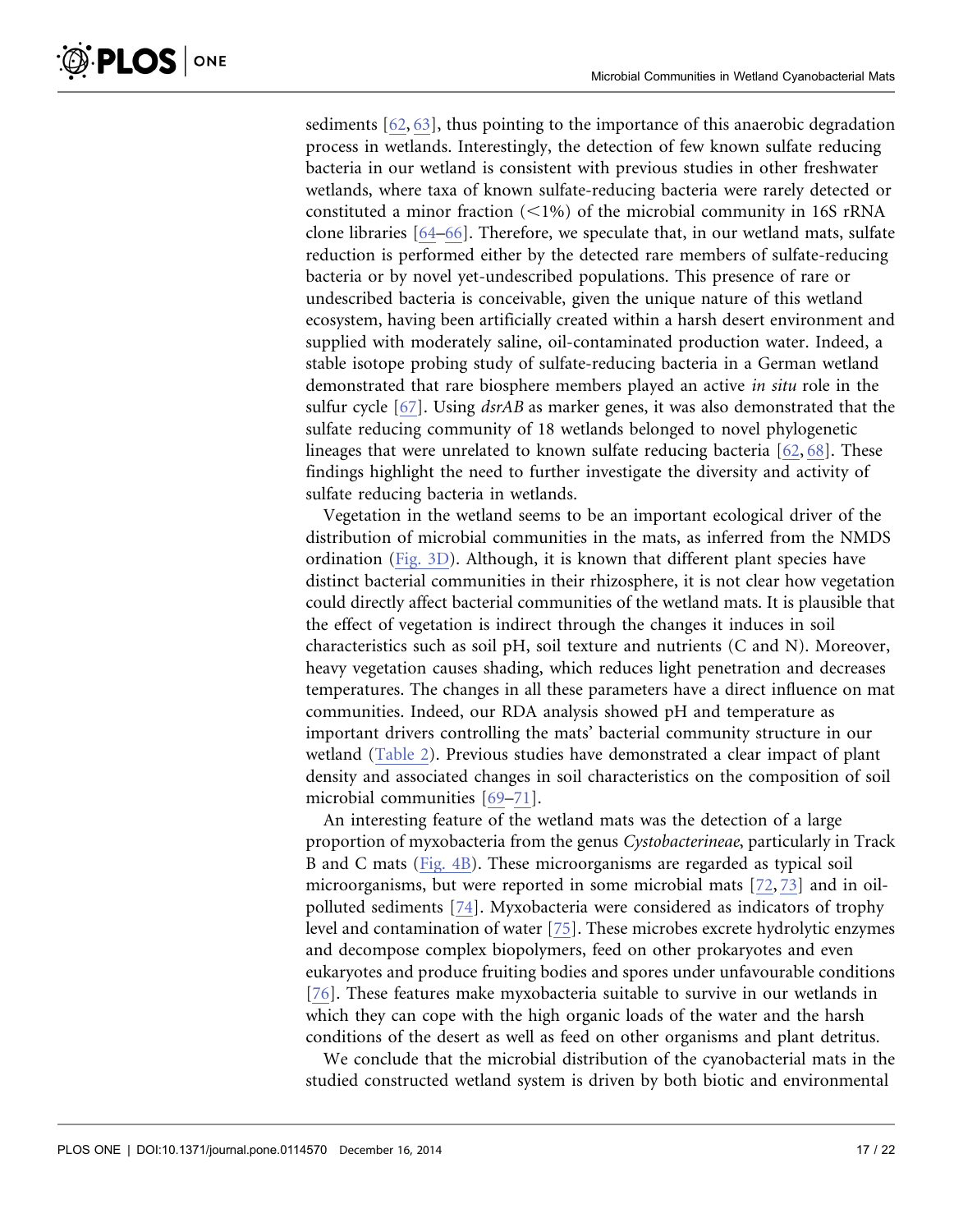sediments [\[62,](#page-20-0) [63\],](#page-20-0) thus pointing to the importance of this anaerobic degradation process in wetlands. Interestingly, the detection of few known sulfate reducing bacteria in our wetland is consistent with previous studies in other freshwater wetlands, where taxa of known sulfate-reducing bacteria were rarely detected or constituted a minor fraction  $(<1%)$  of the microbial community in 16S rRNA clone libraries [\[64–66\]](#page-20-0). Therefore, we speculate that, in our wetland mats, sulfate reduction is performed either by the detected rare members of sulfate-reducing bacteria or by novel yet-undescribed populations. This presence of rare or undescribed bacteria is conceivable, given the unique nature of this wetland ecosystem, having been artificially created within a harsh desert environment and supplied with moderately saline, oil-contaminated production water. Indeed, a stable isotope probing study of sulfate-reducing bacteria in a German wetland demonstrated that rare biosphere members played an active in situ role in the sulfur cycle [\[67\].](#page-21-0) Using *dsrAB* as marker genes, it was also demonstrated that the sulfate reducing community of 18 wetlands belonged to novel phylogenetic lineages that were unrelated to known sulfate reducing bacteria [\[62,](#page-20-0) [68](#page-21-0)[\].](#page-20-0) These findings highlight the need to further investigate the diversity and activity of sulfate reducing bacteria in wetlands.

Vegetation in the wetland seems to be an important ecological driver of the distribution of microbial communities in the mats, as inferred from the NMDS ordination ([Fig. 3D](#page-9-0)). Although, it is known that different plant species have distinct bacterial communities in their rhizosphere, it is not clear how vegetation could directly affect bacterial communities of the wetland mats. It is plausible that the effect of vegetation is indirect through the changes it induces in soil characteristics such as soil pH, soil texture and nutrients (C and N). Moreover, heavy vegetation causes shading, which reduces light penetration and decreases temperatures. The changes in all these parameters have a direct influence on mat communities. Indeed, our RDA analysis showed pH and temperature as important drivers controlling the mats' bacterial community structure in our wetland ([Table 2](#page-10-0)). Previous studies have demonstrated a clear impact of plant density and associated changes in soil characteristics on the composition of soil microbial communities [\[69–71\]](#page-21-0).

An interesting feature of the wetland mats was the detection of a large proportion of myxobacteria from the genus Cystobacterineae, particularly in Track B and C mats [\(Fig. 4B](#page-11-0)). These microorganisms are regarded as typical soil microorganisms, but were reported in some microbial mats [\[72,](#page-21-0) [73\]](#page-21-0) and in oilpolluted sediments [\[74\]](#page-21-0). Myxobacteria were considered as indicators of trophy level and contamination of water [\[75\].](#page-21-0) These microbes excrete hydrolytic enzymes and decompose complex biopolymers, feed on other prokaryotes and even eukaryotes and produce fruiting bodies and spores under unfavourable conditions [\[76\].](#page-21-0) These features make myxobacteria suitable to survive in our wetlands in which they can cope with the high organic loads of the water and the harsh conditions of the desert as well as feed on other organisms and plant detritus.

We conclude that the microbial distribution of the cyanobacterial mats in the studied constructed wetland system is driven by both biotic and environmental

 $\delta$ -PLOS  $|$  on e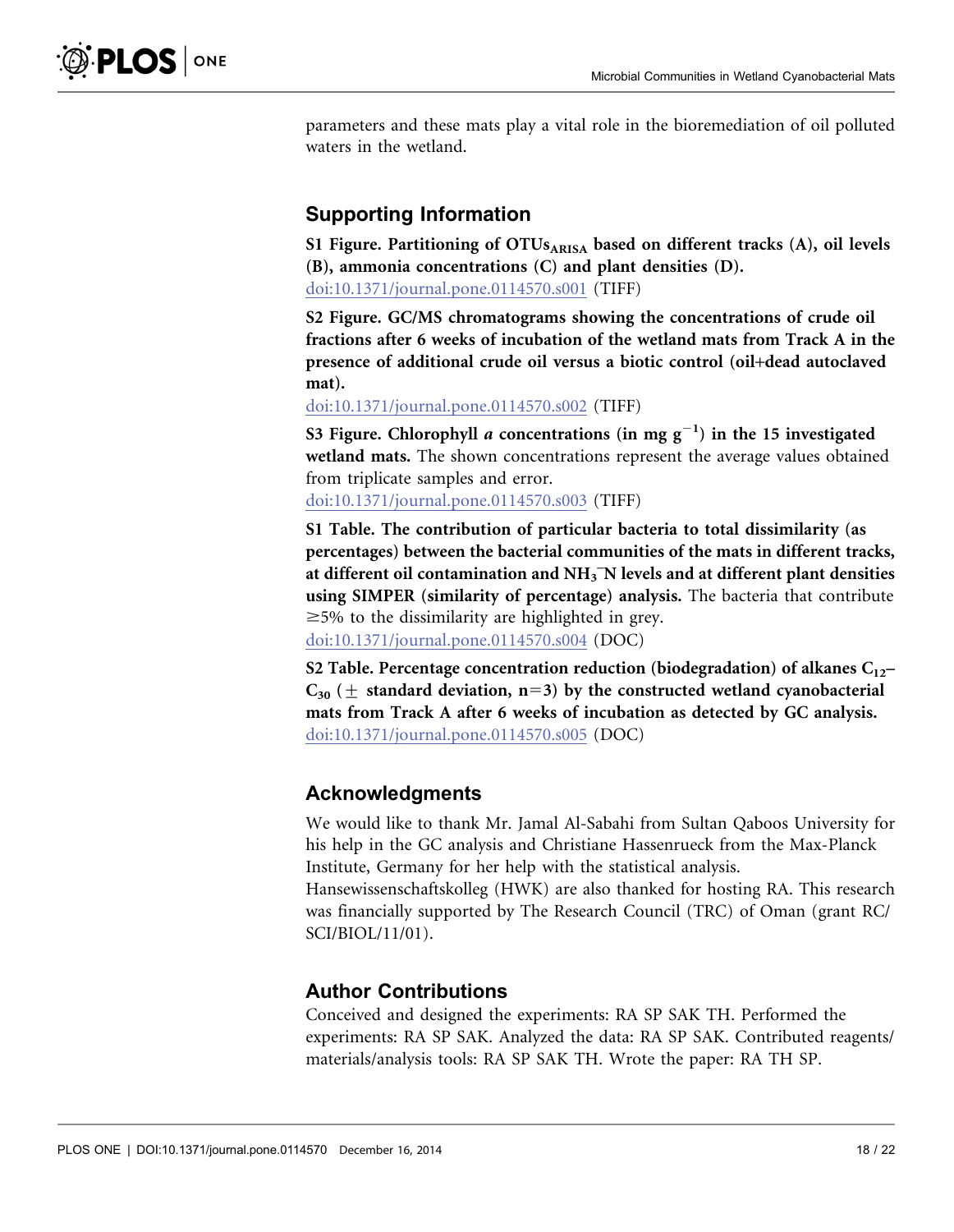<span id="page-17-0"></span>parameters and these mats play a vital role in the bioremediation of oil polluted waters in the wetland.

# Supporting Information

S1 Figure. Partitioning of  $OTUs_{ARISA}$  based on different tracks (A), oil levels (B), ammonia concentrations (C) and plant densities (D). [doi:10.1371/journal.pone.0114570.s001](http://www.plosone.org/article/fetchSingleRepresentation.action?uri=info:doi/10.1371/journal.pone.0114570.s001) (TIFF)

S2 Figure. GC/MS chromatograms showing the concentrations of crude oil fractions after 6 weeks of incubation of the wetland mats from Track A in the presence of additional crude oil versus a biotic control (oil+dead autoclaved mat).

[doi:10.1371/journal.pone.0114570.s002](http://www.plosone.org/article/fetchSingleRepresentation.action?uri=info:doi/10.1371/journal.pone.0114570.s002) (TIFF)

S3 Figure. Chlorophyll *a* concentrations (in mg  $g^{-1}$ ) in the 15 investigated wetland mats. The shown concentrations represent the average values obtained from triplicate samples and error.

[doi:10.1371/journal.pone.0114570.s003](http://www.plosone.org/article/fetchSingleRepresentation.action?uri=info:doi/10.1371/journal.pone.0114570.s003) (TIFF)

S1 Table. The contribution of particular bacteria to total dissimilarity (as percentages) between the bacterial communities of the mats in different tracks, at different oil contamination and  $\mathrm{NH}_3$  N levels and at different plant densities using SIMPER (similarity of percentage) analysis. The bacteria that contribute  $\geq$  5% to the dissimilarity are highlighted in grey. [doi:10.1371/journal.pone.0114570.s004](http://www.plosone.org/article/fetchSingleRepresentation.action?uri=info:doi/10.1371/journal.pone.0114570.s004) (DOC)

S2 Table. Percentage concentration reduction (biodegradation) of alkanes  $C_{12}$ –  $C_{30}$  ( $\pm$  standard deviation, n=3) by the constructed wetland cyanobacterial mats from Track A after 6 weeks of incubation as detected by GC analysis. [doi:10.1371/journal.pone.0114570.s005](http://www.plosone.org/article/fetchSingleRepresentation.action?uri=info:doi/10.1371/journal.pone.0114570.s005) (DOC)

# Acknowledgments

We would like to thank Mr. Jamal Al-Sabahi from Sultan Qaboos University for his help in the GC analysis and Christiane Hassenrueck from the Max-Planck Institute, Germany for her help with the statistical analysis. Hansewissenschaftskolleg (HWK) are also thanked for hosting RA. This research was financially supported by The Research Council (TRC) of Oman (grant RC/

SCI/BIOL/11/01).

# Author Contributions

Conceived and designed the experiments: RA SP SAK TH. Performed the experiments: RA SP SAK. Analyzed the data: RA SP SAK. Contributed reagents/ materials/analysis tools: RA SP SAK TH. Wrote the paper: RA TH SP.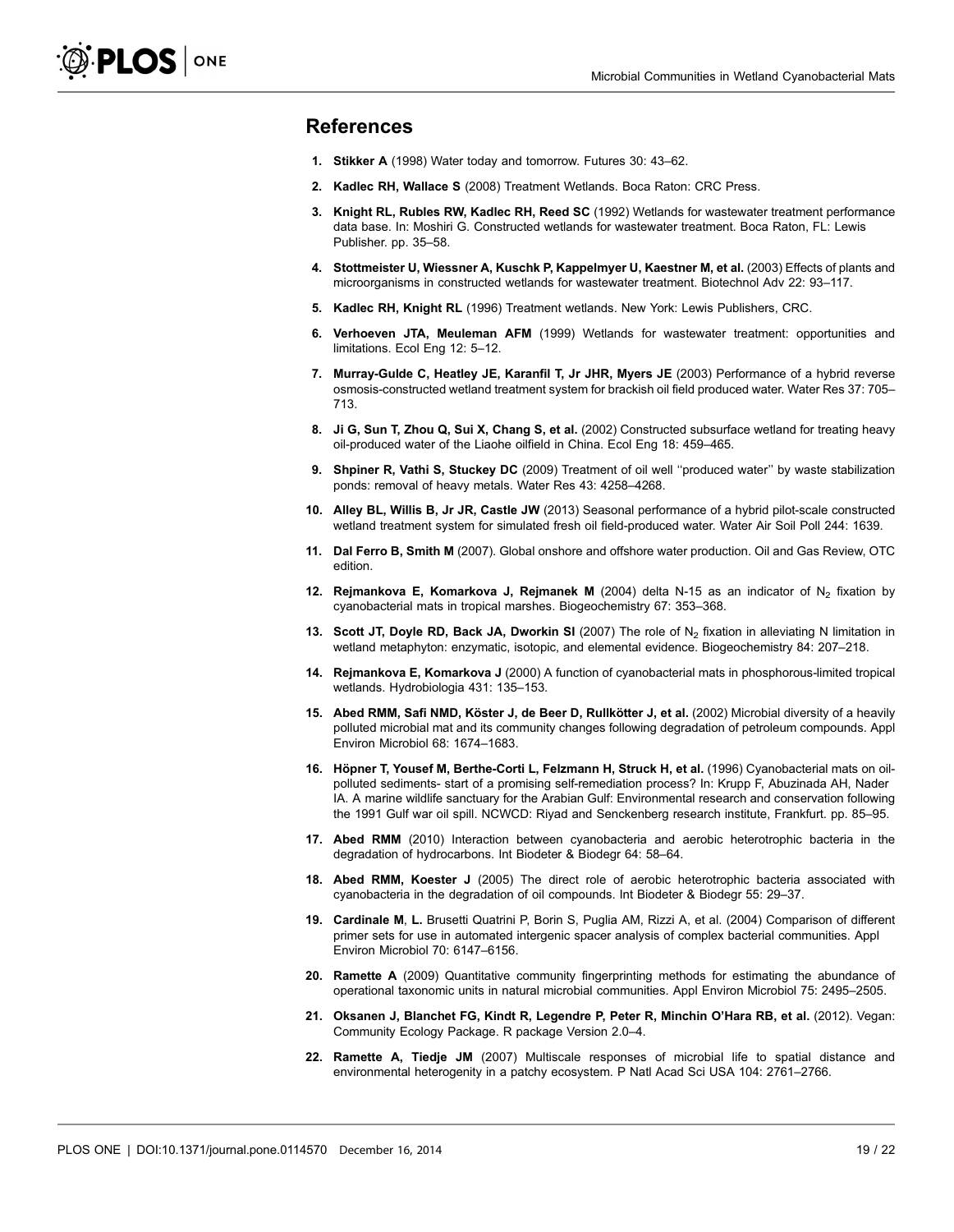### <span id="page-18-0"></span>References

- 1. Stikker A (1998) Water today and tomorrow. Futures 30: 43–62.
- 2. Kadlec RH, Wallace S (2008) Treatment Wetlands. Boca Raton: CRC Press.
- 3. Knight RL, Rubles RW, Kadlec RH, Reed SC (1992) Wetlands for wastewater treatment performance data base. In: Moshiri G. Constructed wetlands for wastewater treatment. Boca Raton, FL: Lewis Publisher. pp. 35–58.
- 4. Stottmeister U, Wiessner A, Kuschk P, Kappelmyer U, Kaestner M, et al. (2003) Effects of plants and microorganisms in constructed wetlands for wastewater treatment. Biotechnol Adv 22: 93–117.
- 5. Kadlec RH, Knight RL (1996) Treatment wetlands. New York: Lewis Publishers, CRC.
- 6. Verhoeven JTA, Meuleman AFM (1999) Wetlands for wastewater treatment: opportunities and limitations. Ecol Eng 12: 5–12.
- 7. Murray-Gulde C, Heatley JE, Karanfil T, Jr JHR, Myers JE (2003) Performance of a hybrid reverse osmosis-constructed wetland treatment system for brackish oil field produced water. Water Res 37: 705– 713.
- 8. Ji G, Sun T, Zhou Q, Sui X, Chang S, et al. (2002) Constructed subsurface wetland for treating heavy oil-produced water of the Liaohe oilfield in China. Ecol Eng 18: 459–465.
- 9. Shpiner R, Vathi S, Stuckey DC (2009) Treatment of oil well ''produced water'' by waste stabilization ponds: removal of heavy metals. Water Res 43: 4258–4268.
- 10. Alley BL, Willis B, Jr JR, Castle JW (2013) Seasonal performance of a hybrid pilot-scale constructed wetland treatment system for simulated fresh oil field-produced water. Water Air Soil Poll 244: 1639.
- 11. Dal Ferro B, Smith M (2007). Global onshore and offshore water production. Oil and Gas Review, OTC edition.
- 12. Rejmankova E, Komarkova J, Rejmanek M (2004) delta N-15 as an indicator of N<sub>2</sub> fixation by cyanobacterial mats in tropical marshes. Biogeochemistry 67: 353–368.
- 13. Scott JT, Doyle RD, Back JA, Dworkin SI (2007) The role of N<sub>2</sub> fixation in alleviating N limitation in wetland metaphyton: enzymatic, isotopic, and elemental evidence. Biogeochemistry 84: 207–218.
- 14. Rejmankova E, Komarkova J (2000) A function of cyanobacterial mats in phosphorous-limited tropical wetlands. Hydrobiologia 431: 135–153.
- 15. Abed RMM, Safi NMD, Köster J, de Beer D, Rullkötter J, et al. (2002) Microbial diversity of a heavily polluted microbial mat and its community changes following degradation of petroleum compounds. Appl Environ Microbiol 68: 1674–1683.
- 16. Höpner T, Yousef M, Berthe-Corti L, Felzmann H, Struck H, et al. (1996) Cyanobacterial mats on oilpolluted sediments- start of a promising self-remediation process? In: Krupp F, Abuzinada AH, Nader IA. A marine wildlife sanctuary for the Arabian Gulf: Environmental research and conservation following the 1991 Gulf war oil spill. NCWCD: Riyad and Senckenberg research institute, Frankfurt. pp. 85–95.
- 17. Abed RMM (2010) Interaction between cyanobacteria and aerobic heterotrophic bacteria in the degradation of hydrocarbons. Int Biodeter & Biodegr 64: 58–64.
- 18. Abed RMM, Koester J (2005) The direct role of aerobic heterotrophic bacteria associated with cyanobacteria in the degradation of oil compounds. Int Biodeter & Biodegr 55: 29–37.
- 19. Cardinale M, L. Brusetti Quatrini P, Borin S, Puglia AM, Rizzi A, et al. (2004) Comparison of different primer sets for use in automated intergenic spacer analysis of complex bacterial communities. Appl Environ Microbiol 70: 6147–6156.
- 20. Ramette A (2009) Quantitative community fingerprinting methods for estimating the abundance of operational taxonomic units in natural microbial communities. Appl Environ Microbiol 75: 2495–2505.
- 21. Oksanen J, Blanchet FG, Kindt R, Legendre P, Peter R, Minchin O'Hara RB, et al. (2012). Vegan: Community Ecology Package. R package Version 2.0–4.
- 22. Ramette A, Tiedje JM (2007) Multiscale responses of microbial life to spatial distance and environmental heterogenity in a patchy ecosystem. P Natl Acad Sci USA 104: 2761–2766.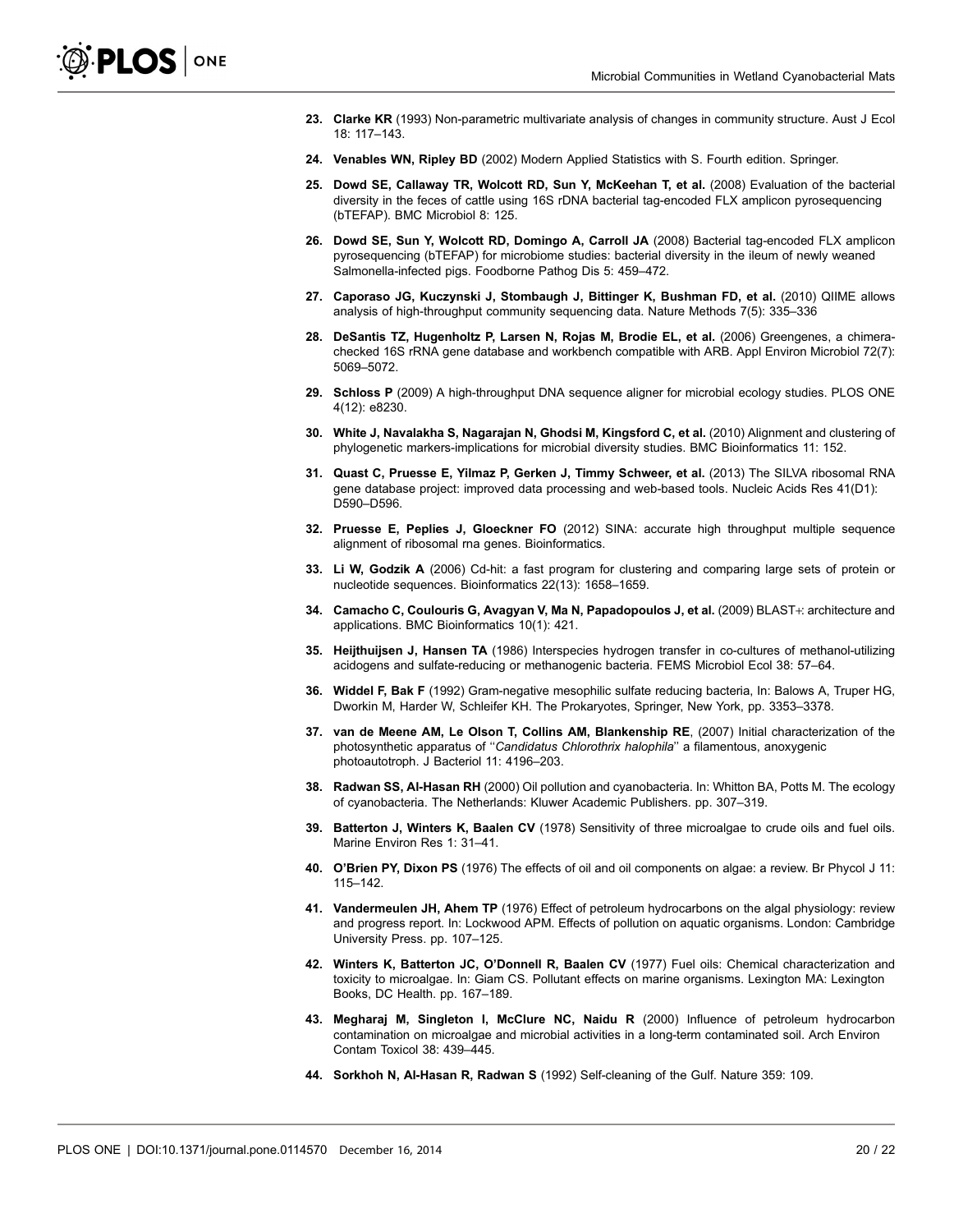- <span id="page-19-0"></span>23. Clarke KR (1993) Non-parametric multivariate analysis of changes in community structure. Aust J Ecol 18: 117–143.
- 24. Venables WN, Ripley BD (2002) Modern Applied Statistics with S. Fourth edition. Springer.
- 25. Dowd SE, Callaway TR, Wolcott RD, Sun Y, McKeehan T, et al. (2008) Evaluation of the bacterial diversity in the feces of cattle using 16S rDNA bacterial tag-encoded FLX amplicon pyrosequencing (bTEFAP). BMC Microbiol 8: 125.
- 26. Dowd SE, Sun Y, Wolcott RD, Domingo A, Carroll JA (2008) Bacterial tag-encoded FLX amplicon pyrosequencing (bTEFAP) for microbiome studies: bacterial diversity in the ileum of newly weaned Salmonella-infected pigs. Foodborne Pathog Dis 5: 459–472.
- 27. Caporaso JG, Kuczynski J, Stombaugh J, Bittinger K, Bushman FD, et al. (2010) QIIME allows analysis of high-throughput community sequencing data. Nature Methods 7(5): 335–336
- 28. DeSantis TZ, Hugenholtz P, Larsen N, Rojas M, Brodie EL, et al. (2006) Greengenes, a chimerachecked 16S rRNA gene database and workbench compatible with ARB. Appl Environ Microbiol 72(7): 5069–5072.
- 29. Schloss P (2009) A high-throughput DNA sequence aligner for microbial ecology studies. PLOS ONE 4(12): e8230.
- 30. White J, Navalakha S, Nagarajan N, Ghodsi M, Kingsford C, et al. (2010) Alignment and clustering of phylogenetic markers-implications for microbial diversity studies. BMC Bioinformatics 11: 152.
- 31. Quast C, Pruesse E, Yilmaz P, Gerken J, Timmy Schweer, et al. (2013) The SILVA ribosomal RNA gene database project: improved data processing and web-based tools. Nucleic Acids Res 41(D1): D590–D596.
- 32. Pruesse E, Peplies J, Gloeckner FO (2012) SINA: accurate high throughput multiple sequence alignment of ribosomal rna genes. Bioinformatics.
- 33. Li W, Godzik A (2006) Cd-hit: a fast program for clustering and comparing large sets of protein or nucleotide sequences. Bioinformatics 22(13): 1658–1659.
- 34. Camacho C, Coulouris G, Avagyan V, Ma N, Papadopoulos J, et al. (2009) BLAST+: architecture and applications. BMC Bioinformatics 10(1): 421.
- 35. Heijthuijsen J, Hansen TA (1986) Interspecies hydrogen transfer in co-cultures of methanol-utilizing acidogens and sulfate-reducing or methanogenic bacteria. FEMS Microbiol Ecol 38: 57–64.
- 36. Widdel F, Bak F (1992) Gram-negative mesophilic sulfate reducing bacteria, In: Balows A, Truper HG, Dworkin M, Harder W, Schleifer KH. The Prokaryotes, Springer, New York, pp. 3353–3378.
- 37. van de Meene AM, Le Olson T, Collins AM, Blankenship RE, (2007) Initial characterization of the photosynthetic apparatus of ''Candidatus Chlorothrix halophila'' a filamentous, anoxygenic photoautotroph. J Bacteriol 11: 4196–203.
- 38. Radwan SS, Al-Hasan RH (2000) Oil pollution and cyanobacteria. In: Whitton BA, Potts M. The ecology of cyanobacteria. The Netherlands: Kluwer Academic Publishers. pp. 307–319.
- 39. Batterton J, Winters K, Baalen CV (1978) Sensitivity of three microalgae to crude oils and fuel oils. Marine Environ Res 1: 31–41.
- 40. O'Brien PY, Dixon PS (1976) The effects of oil and oil components on algae: a review. Br Phycol J 11: 115–142.
- 41. Vandermeulen JH, Ahem TP (1976) Effect of petroleum hydrocarbons on the algal physiology: review and progress report. In: Lockwood APM. Effects of pollution on aquatic organisms. London: Cambridge University Press. pp. 107–125.
- 42. Winters K, Batterton JC, O'Donnell R, Baalen CV (1977) Fuel oils: Chemical characterization and toxicity to microalgae. In: Giam CS. Pollutant effects on marine organisms. Lexington MA: Lexington Books, DC Health. pp. 167–189.
- 43. Megharaj M, Singleton I, McClure NC, Naidu R (2000) Influence of petroleum hydrocarbon contamination on microalgae and microbial activities in a long-term contaminated soil. Arch Environ Contam Toxicol 38: 439–445.
- 44. Sorkhoh N, Al-Hasan R, Radwan S (1992) Self-cleaning of the Gulf. Nature 359: 109.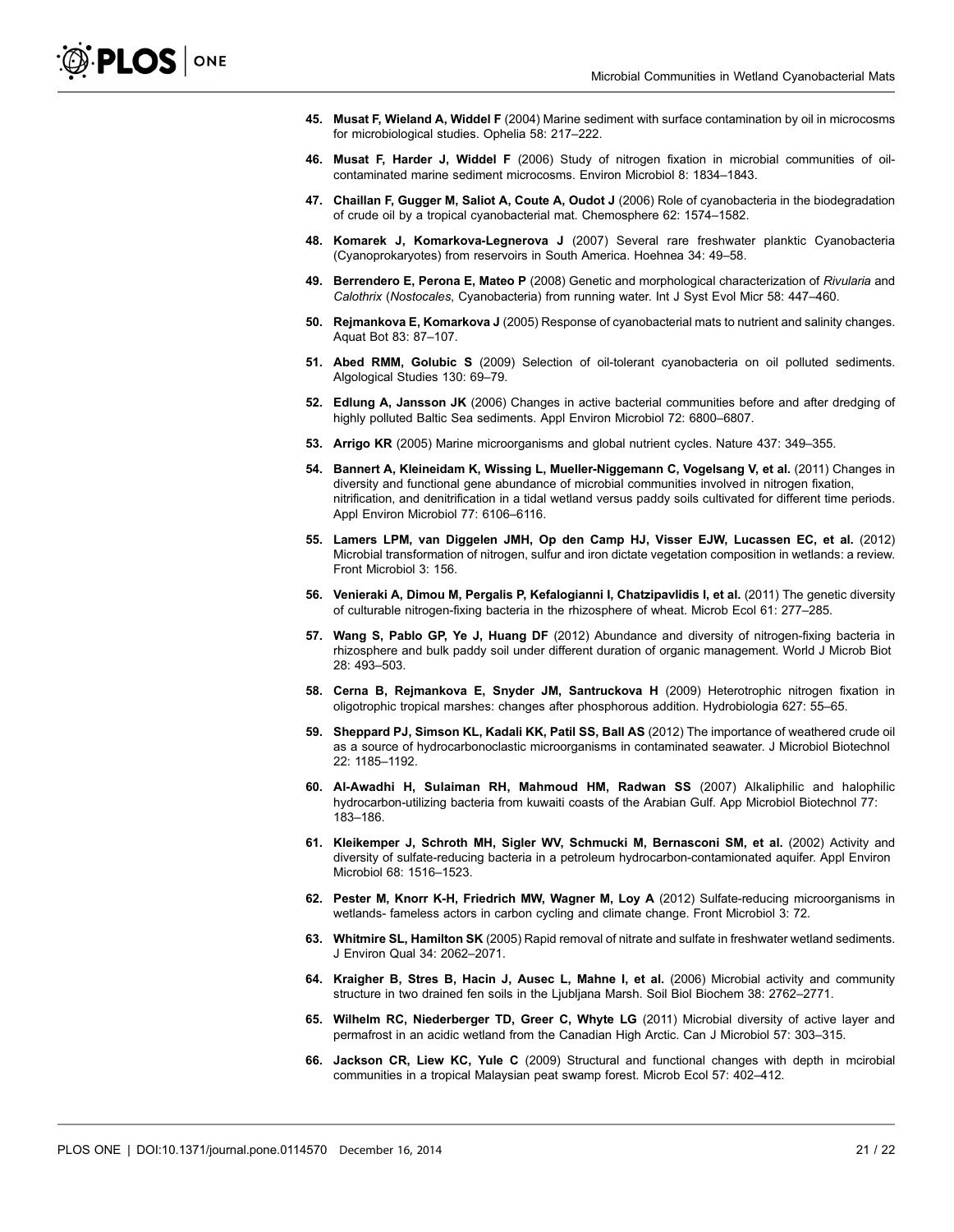- <span id="page-20-0"></span>45. Musat F, Wieland A, Widdel F (2004) Marine sediment with surface contamination by oil in microcosms for microbiological studies. Ophelia 58: 217–222.
- 46. Musat F, Harder J, Widdel F (2006) Study of nitrogen fixation in microbial communities of oilcontaminated marine sediment microcosms. Environ Microbiol 8: 1834–1843.
- 47. Chaillan F, Gugger M, Saliot A, Coute A, Oudot J (2006) Role of cyanobacteria in the biodegradation of crude oil by a tropical cyanobacterial mat. Chemosphere 62: 1574–1582.
- 48. Komarek J, Komarkova-Legnerova J (2007) Several rare freshwater planktic Cyanobacteria (Cyanoprokaryotes) from reservoirs in South America. Hoehnea 34: 49–58.
- 49. Berrendero E, Perona E, Mateo P (2008) Genetic and morphological characterization of Rivularia and Calothrix (Nostocales, Cyanobacteria) from running water. Int J Syst Evol Micr 58: 447–460.
- 50. Rejmankova E, Komarkova J (2005) Response of cyanobacterial mats to nutrient and salinity changes. Aquat Bot 83: 87–107.
- 51. Abed RMM, Golubic S (2009) Selection of oil-tolerant cyanobacteria on oil polluted sediments. Algological Studies 130: 69–79.
- 52. Edlung A, Jansson JK (2006) Changes in active bacterial communities before and after dredging of highly polluted Baltic Sea sediments. Appl Environ Microbiol 72: 6800–6807.
- 53. Arrigo KR (2005) Marine microorganisms and global nutrient cycles. Nature 437: 349–355.
- 54. Bannert A, Kleineidam K, Wissing L, Mueller-Niggemann C, Vogelsang V, et al. (2011) Changes in diversity and functional gene abundance of microbial communities involved in nitrogen fixation, nitrification, and denitrification in a tidal wetland versus paddy soils cultivated for different time periods. Appl Environ Microbiol 77: 6106–6116.
- 55. Lamers LPM, van Diggelen JMH, Op den Camp HJ, Visser EJW, Lucassen EC, et al. (2012) Microbial transformation of nitrogen, sulfur and iron dictate vegetation composition in wetlands: a review. Front Microbiol 3: 156.
- 56. Venieraki A, Dimou M, Pergalis P, Kefalogianni I, Chatzipavlidis I, et al. (2011) The genetic diversity of culturable nitrogen-fixing bacteria in the rhizosphere of wheat. Microb Ecol 61: 277–285.
- 57. Wang S, Pablo GP, Ye J, Huang DF (2012) Abundance and diversity of nitrogen-fixing bacteria in rhizosphere and bulk paddy soil under different duration of organic management. World J Microb Biot 28: 493–503.
- 58. Cerna B, Rejmankova E, Snyder JM, Santruckova H (2009) Heterotrophic nitrogen fixation in oligotrophic tropical marshes: changes after phosphorous addition. Hydrobiologia 627: 55–65.
- 59. Sheppard PJ, Simson KL, Kadali KK, Patil SS, Ball AS (2012) The importance of weathered crude oil as a source of hydrocarbonoclastic microorganisms in contaminated seawater. J Microbiol Biotechnol 22: 1185–1192.
- 60. Al-Awadhi H, Sulaiman RH, Mahmoud HM, Radwan SS (2007) Alkaliphilic and halophilic hydrocarbon-utilizing bacteria from kuwaiti coasts of the Arabian Gulf. App Microbiol Biotechnol 77: 183–186.
- 61. Kleikemper J, Schroth MH, Sigler WV, Schmucki M, Bernasconi SM, et al. (2002) Activity and diversity of sulfate-reducing bacteria in a petroleum hydrocarbon-contamionated aquifer. Appl Environ Microbiol 68: 1516–1523.
- 62. Pester M, Knorr K-H, Friedrich MW, Wagner M, Loy A (2012) Sulfate-reducing microorganisms in wetlands- fameless actors in carbon cycling and climate change. Front Microbiol 3: 72.
- 63. Whitmire SL, Hamilton SK (2005) Rapid removal of nitrate and sulfate in freshwater wetland sediments. J Environ Qual 34: 2062–2071.
- 64. Kraigher B, Stres B, Hacin J, Ausec L, Mahne I, et al. (2006) Microbial activity and community structure in two drained fen soils in the Ljubljana Marsh. Soil Biol Biochem 38: 2762–2771.
- 65. Wilhelm RC, Niederberger TD, Greer C, Whyte LG (2011) Microbial diversity of active layer and permafrost in an acidic wetland from the Canadian High Arctic. Can J Microbiol 57: 303–315.
- 66. Jackson CR, Liew KC, Yule C (2009) Structural and functional changes with depth in mcirobial communities in a tropical Malaysian peat swamp forest. Microb Ecol 57: 402–412.